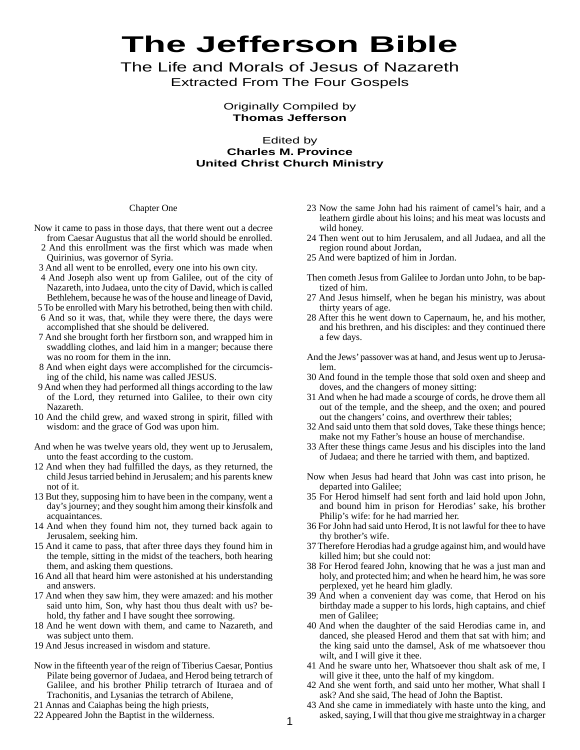# **The Jefferson Bible**

The Life and Morals of Jesus of Nazareth Extracted From The Four Gospels

> Originally Compiled by **Thomas Jefferson**

# Edited by **Charles M. Province United Christ Church Ministry**

## Chapter One

- Now it came to pass in those days, that there went out a decree from Caesar Augustus that all the world should be enrolled.
	- 2 And this enrollment was the first which was made when Quirinius, was governor of Syria.
- 3 And all went to be enrolled, every one into his own city.
- 4 And Joseph also went up from Galilee, out of the city of Nazareth, into Judaea, unto the city of David, which is called Bethlehem, because he was of the house and lineage of David,
- 5 To be enrolled with Mary his betrothed, being then with child. 6 And so it was, that, while they were there, the days were
- accomplished that she should be delivered.
- 7 And she brought forth her firstborn son, and wrapped him in swaddling clothes, and laid him in a manger; because there was no room for them in the inn.
- 8 And when eight days were accomplished for the circumcising of the child, his name was called JESUS.
- 9 And when they had performed all things according to the law of the Lord, they returned into Galilee, to their own city Nazareth.
- 10 And the child grew, and waxed strong in spirit, filled with wisdom: and the grace of God was upon him.
- And when he was twelve years old, they went up to Jerusalem, unto the feast according to the custom.
- 12 And when they had fulfilled the days, as they returned, the child Jesus tarried behind in Jerusalem; and his parents knew not of it.
- 13 But they, supposing him to have been in the company, went a day's journey; and they sought him among their kinsfolk and acquaintances.
- 14 And when they found him not, they turned back again to Jerusalem, seeking him.
- 15 And it came to pass, that after three days they found him in the temple, sitting in the midst of the teachers, both hearing them, and asking them questions.
- 16 And all that heard him were astonished at his understanding and answers.
- 17 And when they saw him, they were amazed: and his mother said unto him, Son, why hast thou thus dealt with us? behold, thy father and I have sought thee sorrowing.
- 18 And he went down with them, and came to Nazareth, and was subject unto them.
- 19 And Jesus increased in wisdom and stature.
- Now in the fifteenth year of the reign of Tiberius Caesar, Pontius Pilate being governor of Judaea, and Herod being tetrarch of Galilee, and his brother Philip tetrarch of Ituraea and of Trachonitis, and Lysanias the tetrarch of Abilene,
- 21 Annas and Caiaphas being the high priests,
- 22 Appeared John the Baptist in the wilderness.
- 23 Now the same John had his raiment of camel's hair, and a leathern girdle about his loins; and his meat was locusts and wild honey.
- 24 Then went out to him Jerusalem, and all Judaea, and all the region round about Jordan,
- 25 And were baptized of him in Jordan.
- Then cometh Jesus from Galilee to Jordan unto John, to be baptized of him.
- 27 And Jesus himself, when he began his ministry, was about thirty years of age.
- 28 After this he went down to Capernaum, he, and his mother, and his brethren, and his disciples: and they continued there a few days.
- And the Jews' passover was at hand, and Jesus went up to Jerusalem.
- 30 And found in the temple those that sold oxen and sheep and doves, and the changers of money sitting:
- 31 And when he had made a scourge of cords, he drove them all out of the temple, and the sheep, and the oxen; and poured out the changers' coins, and overthrew their tables;
- 32 And said unto them that sold doves, Take these things hence; make not my Father's house an house of merchandise.
- 33 After these things came Jesus and his disciples into the land of Judaea; and there he tarried with them, and baptized.
- Now when Jesus had heard that John was cast into prison, he departed into Galilee;
- 35 For Herod himself had sent forth and laid hold upon John, and bound him in prison for Herodias' sake, his brother Philip's wife: for he had married her.
- 36 For John had said unto Herod, It is not lawful for thee to have thy brother's wife.
- 37 Therefore Herodias had a grudge against him, and would have killed him; but she could not:
- 38 For Herod feared John, knowing that he was a just man and holy, and protected him; and when he heard him, he was sore perplexed, yet he heard him gladly.
- 39 And when a convenient day was come, that Herod on his birthday made a supper to his lords, high captains, and chief men of Galilee;
- 40 And when the daughter of the said Herodias came in, and danced, she pleased Herod and them that sat with him; and the king said unto the damsel, Ask of me whatsoever thou wilt, and I will give it thee.
- 41 And he sware unto her, Whatsoever thou shalt ask of me, I will give it thee, unto the half of my kingdom.
- 42 And she went forth, and said unto her mother, What shall I ask? And she said, The head of John the Baptist.
- 43 And she came in immediately with haste unto the king, and asked, saying, I will that thou give me straightway in a charger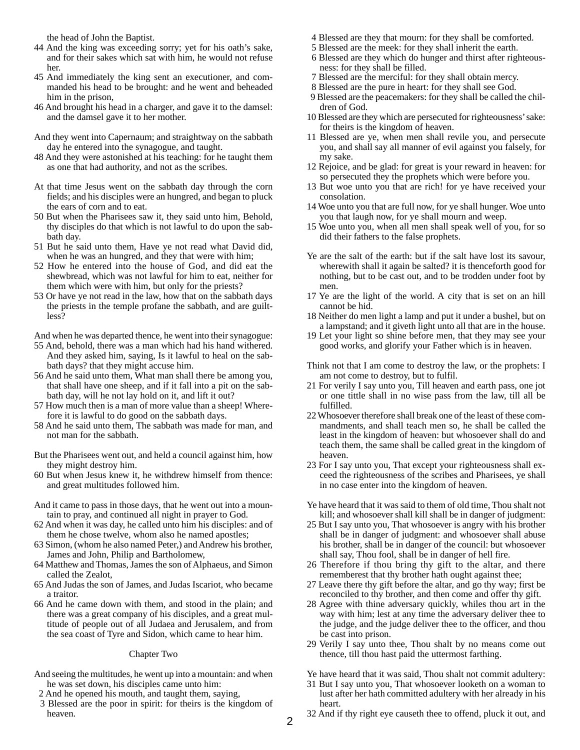the head of John the Baptist.

- 44 And the king was exceeding sorry; yet for his oath's sake, and for their sakes which sat with him, he would not refuse her.
- 45 And immediately the king sent an executioner, and commanded his head to be brought: and he went and beheaded him in the prison,
- 46 And brought his head in a charger, and gave it to the damsel: and the damsel gave it to her mother.
- And they went into Capernaum; and straightway on the sabbath day he entered into the synagogue, and taught.
- 48 And they were astonished at his teaching: for he taught them as one that had authority, and not as the scribes.
- At that time Jesus went on the sabbath day through the corn fields; and his disciples were an hungred, and began to pluck the ears of corn and to eat.
- 50 But when the Pharisees saw it, they said unto him, Behold, thy disciples do that which is not lawful to do upon the sabbath day.
- 51 But he said unto them, Have ye not read what David did, when he was an hungred, and they that were with him;
- 52 How he entered into the house of God, and did eat the shewbread, which was not lawful for him to eat, neither for them which were with him, but only for the priests?
- 53 Or have ye not read in the law, how that on the sabbath days the priests in the temple profane the sabbath, and are guiltless?

And when he was departed thence, he went into their synagogue:

- 55 And, behold, there was a man which had his hand withered. And they asked him, saying, Is it lawful to heal on the sabbath days? that they might accuse him.
- 56 And he said unto them, What man shall there be among you, that shall have one sheep, and if it fall into a pit on the sabbath day, will he not lay hold on it, and lift it out?
- 57 How much then is a man of more value than a sheep! Wherefore it is lawful to do good on the sabbath days.
- 58 And he said unto them, The sabbath was made for man, and not man for the sabbath.
- But the Pharisees went out, and held a council against him, how they might destroy him.
- 60 But when Jesus knew it, he withdrew himself from thence: and great multitudes followed him.
- And it came to pass in those days, that he went out into a mountain to pray, and continued all night in prayer to God.
- 62 And when it was day, he called unto him his disciples: and of them he chose twelve, whom also he named apostles;
- 63 Simon, (whom he also named Peter,) and Andrew his brother, James and John, Philip and Bartholomew,
- 64 Matthew and Thomas, James the son of Alphaeus, and Simon called the Zealot,
- 65 And Judas the son of James, and Judas Iscariot, who became a traitor.
- 66 And he came down with them, and stood in the plain; and there was a great company of his disciples, and a great multitude of people out of all Judaea and Jerusalem, and from the sea coast of Tyre and Sidon, which came to hear him.

## Chapter Two

- And seeing the multitudes, he went up into a mountain: and when he was set down, his disciples came unto him:
- 2 And he opened his mouth, and taught them, saying,
- 3 Blessed are the poor in spirit: for theirs is the kingdom of heaven.
- 4 Blessed are they that mourn: for they shall be comforted.
- 5 Blessed are the meek: for they shall inherit the earth.
- 6 Blessed are they which do hunger and thirst after righteousness: for they shall be filled.
- 7 Blessed are the merciful: for they shall obtain mercy.
- 8 Blessed are the pure in heart: for they shall see God.
- 9 Blessed are the peacemakers: for they shall be called the children of God.
- 10 Blessed are they which are persecuted for righteousness' sake: for theirs is the kingdom of heaven.
- 11 Blessed are ye, when men shall revile you, and persecute you, and shall say all manner of evil against you falsely, for my sake.
- 12 Rejoice, and be glad: for great is your reward in heaven: for so persecuted they the prophets which were before you.
- 13 But woe unto you that are rich! for ye have received your consolation.
- 14 Woe unto you that are full now, for ye shall hunger. Woe unto you that laugh now, for ye shall mourn and weep.
- 15 Woe unto you, when all men shall speak well of you, for so did their fathers to the false prophets.
- Ye are the salt of the earth: but if the salt have lost its savour, wherewith shall it again be salted? it is thenceforth good for nothing, but to be cast out, and to be trodden under foot by men.
- 17 Ye are the light of the world. A city that is set on an hill cannot be hid.
- 18 Neither do men light a lamp and put it under a bushel, but on a lampstand; and it giveth light unto all that are in the house.
- 19 Let your light so shine before men, that they may see your good works, and glorify your Father which is in heaven.
- Think not that I am come to destroy the law, or the prophets: I am not come to destroy, but to fulfil.
- 21 For verily I say unto you, Till heaven and earth pass, one jot or one tittle shall in no wise pass from the law, till all be fulfilled.
- 22 Whosoever therefore shall break one of the least of these commandments, and shall teach men so, he shall be called the least in the kingdom of heaven: but whosoever shall do and teach them, the same shall be called great in the kingdom of heaven.
- 23 For I say unto you, That except your righteousness shall exceed the righteousness of the scribes and Pharisees, ye shall in no case enter into the kingdom of heaven.
- Ye have heard that it was said to them of old time, Thou shalt not kill; and whosoever shall kill shall be in danger of judgment:
- 25 But I say unto you, That whosoever is angry with his brother shall be in danger of judgment: and whosoever shall abuse his brother, shall be in danger of the council: but whosoever shall say, Thou fool, shall be in danger of hell fire.
- 26 Therefore if thou bring thy gift to the altar, and there rememberest that thy brother hath ought against thee;
- 27 Leave there thy gift before the altar, and go thy way; first be reconciled to thy brother, and then come and offer thy gift.
- 28 Agree with thine adversary quickly, whiles thou art in the way with him; lest at any time the adversary deliver thee to the judge, and the judge deliver thee to the officer, and thou be cast into prison.
- 29 Verily I say unto thee, Thou shalt by no means come out thence, till thou hast paid the uttermost farthing.
- Ye have heard that it was said, Thou shalt not commit adultery:
- 31 But I say unto you, That whosoever looketh on a woman to lust after her hath committed adultery with her already in his heart.
- 32 And if thy right eye causeth thee to offend, pluck it out, and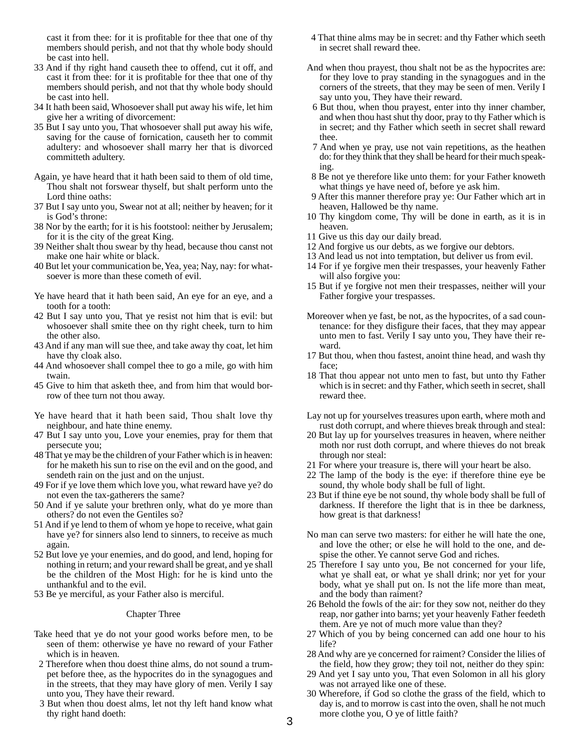cast it from thee: for it is profitable for thee that one of thy members should perish, and not that thy whole body should be cast into hell.

- 33 And if thy right hand causeth thee to offend, cut it off, and cast it from thee: for it is profitable for thee that one of thy members should perish, and not that thy whole body should be cast into hell.
- 34 It hath been said, Whosoever shall put away his wife, let him give her a writing of divorcement:
- 35 But I say unto you, That whosoever shall put away his wife, saving for the cause of fornication, causeth her to commit adultery: and whosoever shall marry her that is divorced committeth adultery.

Again, ye have heard that it hath been said to them of old time, Thou shalt not forswear thyself, but shalt perform unto the Lord thine oaths:

- 37 But I say unto you, Swear not at all; neither by heaven; for it is God's throne:
- 38 Nor by the earth; for it is his footstool: neither by Jerusalem; for it is the city of the great King.
- 39 Neither shalt thou swear by thy head, because thou canst not make one hair white or black.
- 40 But let your communication be, Yea, yea; Nay, nay: for whatsoever is more than these cometh of evil.
- Ye have heard that it hath been said, An eye for an eye, and a tooth for a tooth:
- 42 But I say unto you, That ye resist not him that is evil: but whosoever shall smite thee on thy right cheek, turn to him the other also.
- 43 And if any man will sue thee, and take away thy coat, let him have thy cloak also.
- 44 And whosoever shall compel thee to go a mile, go with him twain.
- 45 Give to him that asketh thee, and from him that would borrow of thee turn not thou away.
- Ye have heard that it hath been said, Thou shalt love thy neighbour, and hate thine enemy.
- 47 But I say unto you, Love your enemies, pray for them that persecute you;
- 48 That ye may be the children of your Father which is in heaven: for he maketh his sun to rise on the evil and on the good, and sendeth rain on the just and on the unjust.
- 49 For if ye love them which love you, what reward have ye? do not even the tax-gatherers the same?
- 50 And if ye salute your brethren only, what do ye more than others? do not even the Gentiles so?
- 51 And if ye lend to them of whom ye hope to receive, what gain have ye? for sinners also lend to sinners, to receive as much again.
- 52 But love ye your enemies, and do good, and lend, hoping for nothing in return; and your reward shall be great, and ye shall be the children of the Most High: for he is kind unto the unthankful and to the evil.
- 53 Be ye merciful, as your Father also is merciful.

#### Chapter Three

- Take heed that ye do not your good works before men, to be seen of them: otherwise ye have no reward of your Father which is in heaven.
- 2 Therefore when thou doest thine alms, do not sound a trumpet before thee, as the hypocrites do in the synagogues and in the streets, that they may have glory of men. Verily I say unto you, They have their reward.
- 3 But when thou doest alms, let not thy left hand know what thy right hand doeth:
- 4 That thine alms may be in secret: and thy Father which seeth in secret shall reward thee.
- And when thou prayest, thou shalt not be as the hypocrites are: for they love to pray standing in the synagogues and in the corners of the streets, that they may be seen of men. Verily I say unto you, They have their reward.
- 6 But thou, when thou prayest, enter into thy inner chamber, and when thou hast shut thy door, pray to thy Father which is in secret; and thy Father which seeth in secret shall reward thee.
- 7 And when ye pray, use not vain repetitions, as the heathen do: for they think that they shall be heard for their much speaking.
- 8 Be not ye therefore like unto them: for your Father knoweth what things ye have need of, before ye ask him.
- 9 After this manner therefore pray ye: Our Father which art in heaven, Hallowed be thy name.
- 10 Thy kingdom come, Thy will be done in earth, as it is in heaven.
- 11 Give us this day our daily bread.
- 12 And forgive us our debts, as we forgive our debtors.
- 13 And lead us not into temptation, but deliver us from evil.
- 14 For if ye forgive men their trespasses, your heavenly Father will also forgive you:
- 15 But if ye forgive not men their trespasses, neither will your Father forgive your trespasses.
- Moreover when ye fast, be not, as the hypocrites, of a sad countenance: for they disfigure their faces, that they may appear unto men to fast. Verily I say unto you, They have their reward.
- 17 But thou, when thou fastest, anoint thine head, and wash thy face;
- 18 That thou appear not unto men to fast, but unto thy Father which is in secret: and thy Father, which seeth in secret, shall reward thee.
- Lay not up for yourselves treasures upon earth, where moth and rust doth corrupt, and where thieves break through and steal:
- 20 But lay up for yourselves treasures in heaven, where neither moth nor rust doth corrupt, and where thieves do not break through nor steal:
- 21 For where your treasure is, there will your heart be also.
- 22 The lamp of the body is the eye: if therefore thine eye be sound, thy whole body shall be full of light.
- 23 But if thine eye be not sound, thy whole body shall be full of darkness. If therefore the light that is in thee be darkness, how great is that darkness!
- No man can serve two masters: for either he will hate the one, and love the other; or else he will hold to the one, and despise the other. Ye cannot serve God and riches.
- 25 Therefore I say unto you, Be not concerned for your life, what ye shall eat, or what ye shall drink; nor yet for your body, what ye shall put on. Is not the life more than meat, and the body than raiment?
- 26 Behold the fowls of the air: for they sow not, neither do they reap, nor gather into barns; yet your heavenly Father feedeth them. Are ye not of much more value than they?
- 27 Which of you by being concerned can add one hour to his life?
- 28 And why are ye concerned for raiment? Consider the lilies of the field, how they grow; they toil not, neither do they spin:
- 29 And yet I say unto you, That even Solomon in all his glory was not arrayed like one of these.
- 30 Wherefore, if God so clothe the grass of the field, which to day is, and to morrow is cast into the oven, shall he not much more clothe you, O ye of little faith?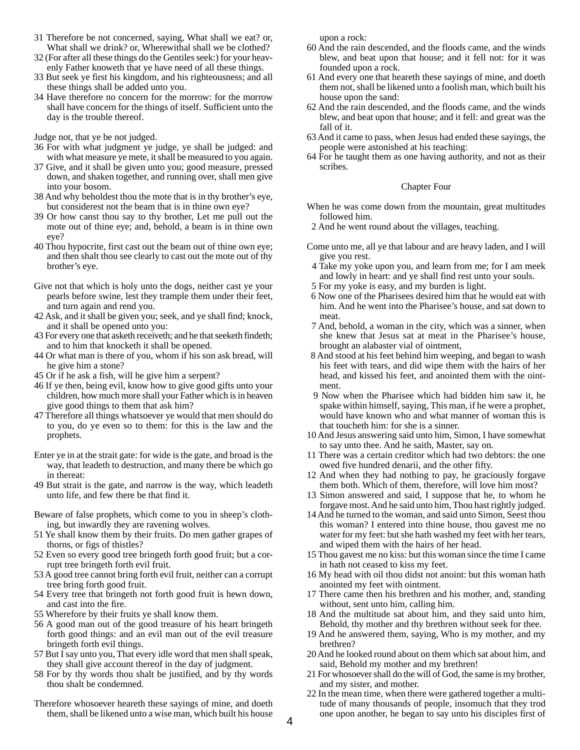- 31 Therefore be not concerned, saying, What shall we eat? or, What shall we drink? or, Wherewithal shall we be clothed?
- 32 (For after all these things do the Gentiles seek:) for your heavenly Father knoweth that ye have need of all these things.
- 33 But seek ye first his kingdom, and his righteousness; and all these things shall be added unto you.
- 34 Have therefore no concern for the morrow: for the morrow shall have concern for the things of itself. Sufficient unto the day is the trouble thereof.

Judge not, that ye be not judged.

- 36 For with what judgment ye judge, ye shall be judged: and with what measure ye mete, it shall be measured to you again.
- 37 Give, and it shall be given unto you; good measure, pressed down, and shaken together, and running over, shall men give into your bosom.
- 38 And why beholdest thou the mote that is in thy brother's eye, but considerest not the beam that is in thine own eye?
- 39 Or how canst thou say to thy brother, Let me pull out the mote out of thine eye; and, behold, a beam is in thine own eye?
- 40 Thou hypocrite, first cast out the beam out of thine own eye; and then shalt thou see clearly to cast out the mote out of thy brother's eye.
- Give not that which is holy unto the dogs, neither cast ye your pearls before swine, lest they trample them under their feet, and turn again and rend you.
- 42 Ask, and it shall be given you; seek, and ye shall find; knock, and it shall be opened unto you:
- 43 For every one that asketh receiveth; and he that seeketh findeth; and to him that knocketh it shall be opened.
- 44 Or what man is there of you, whom if his son ask bread, will he give him a stone?
- 45 Or if he ask a fish, will he give him a serpent?
- 46 If ye then, being evil, know how to give good gifts unto your children, how much more shall your Father which is in heaven give good things to them that ask him?
- 47 Therefore all things whatsoever ye would that men should do to you, do ye even so to them: for this is the law and the prophets.
- Enter ye in at the strait gate: for wide is the gate, and broad is the way, that leadeth to destruction, and many there be which go in thereat:
- 49 But strait is the gate, and narrow is the way, which leadeth unto life, and few there be that find it.
- Beware of false prophets, which come to you in sheep's clothing, but inwardly they are ravening wolves.
- 51 Ye shall know them by their fruits. Do men gather grapes of thorns, or figs of thistles?
- 52 Even so every good tree bringeth forth good fruit; but a corrupt tree bringeth forth evil fruit.
- 53 A good tree cannot bring forth evil fruit, neither can a corrupt tree bring forth good fruit.
- 54 Every tree that bringeth not forth good fruit is hewn down, and cast into the fire.
- 55 Wherefore by their fruits ye shall know them.
- 56 A good man out of the good treasure of his heart bringeth forth good things: and an evil man out of the evil treasure bringeth forth evil things.
- 57 But I say unto you, That every idle word that men shall speak, they shall give account thereof in the day of judgment.
- 58 For by thy words thou shalt be justified, and by thy words thou shalt be condemned.
- Therefore whosoever heareth these sayings of mine, and doeth them, shall be likened unto a wise man, which built his house

upon a rock:

- 60 And the rain descended, and the floods came, and the winds blew, and beat upon that house; and it fell not: for it was founded upon a rock.
- 61 And every one that heareth these sayings of mine, and doeth them not, shall be likened unto a foolish man, which built his house upon the sand:
- 62 And the rain descended, and the floods came, and the winds blew, and beat upon that house; and it fell: and great was the fall of it.
- 63 And it came to pass, when Jesus had ended these sayings, the people were astonished at his teaching:
- 64 For he taught them as one having authority, and not as their scribes.

## Chapter Four

- When he was come down from the mountain, great multitudes followed him.
- 2 And he went round about the villages, teaching.
- Come unto me, all ye that labour and are heavy laden, and I will give you rest.
- 4 Take my yoke upon you, and learn from me; for I am meek and lowly in heart: and ye shall find rest unto your souls.
- 5 For my yoke is easy, and my burden is light.
- 6 Now one of the Pharisees desired him that he would eat with him. And he went into the Pharisee's house, and sat down to meat.
- 7 And, behold, a woman in the city, which was a sinner, when she knew that Jesus sat at meat in the Pharisee's house, brought an alabaster vial of ointment,
- 8 And stood at his feet behind him weeping, and began to wash his feet with tears, and did wipe them with the hairs of her head, and kissed his feet, and anointed them with the ointment.
- 9 Now when the Pharisee which had bidden him saw it, he spake within himself, saying, This man, if he were a prophet, would have known who and what manner of woman this is that toucheth him: for she is a sinner.
- 10 And Jesus answering said unto him, Simon, I have somewhat to say unto thee. And he saith, Master, say on.
- 11 There was a certain creditor which had two debtors: the one owed five hundred denarii, and the other fifty.
- 12 And when they had nothing to pay, he graciously forgave them both. Which of them, therefore, will love him most?
- 13 Simon answered and said, I suppose that he, to whom he forgave most. And he said unto him, Thou hast rightly judged.
- 14 And he turned to the woman, and said unto Simon, Seest thou this woman? I entered into thine house, thou gavest me no water for my feet: but she hath washed my feet with her tears, and wiped them with the hairs of her head.
- 15 Thou gavest me no kiss: but this woman since the time I came in hath not ceased to kiss my feet.
- 16 My head with oil thou didst not anoint: but this woman hath anointed my feet with ointment.
- 17 There came then his brethren and his mother, and, standing without, sent unto him, calling him.
- 18 And the multitude sat about him, and they said unto him, Behold, thy mother and thy brethren without seek for thee.
- 19 And he answered them, saying, Who is my mother, and my brethren?
- 20 And he looked round about on them which sat about him, and said, Behold my mother and my brethren!
- 21 For whosoever shall do the will of God, the same is my brother, and my sister, and mother.
- 22 In the mean time, when there were gathered together a multitude of many thousands of people, insomuch that they trod one upon another, he began to say unto his disciples first of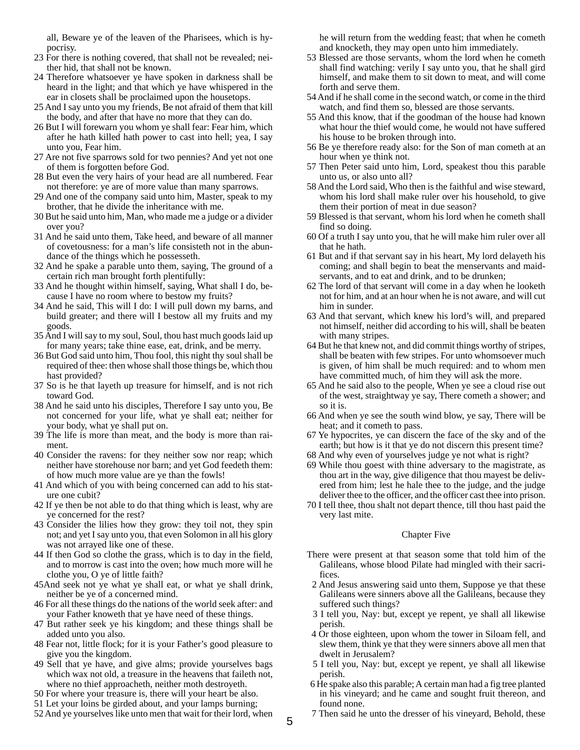all, Beware ye of the leaven of the Pharisees, which is hypocrisy.

- 23 For there is nothing covered, that shall not be revealed; neither hid, that shall not be known.
- 24 Therefore whatsoever ye have spoken in darkness shall be heard in the light; and that which ye have whispered in the ear in closets shall be proclaimed upon the housetops.
- 25 And I say unto you my friends, Be not afraid of them that kill the body, and after that have no more that they can do.
- 26 But I will forewarn you whom ye shall fear: Fear him, which after he hath killed hath power to cast into hell; yea, I say unto you, Fear him.
- 27 Are not five sparrows sold for two pennies? And yet not one of them is forgotten before God.
- 28 But even the very hairs of your head are all numbered. Fear not therefore: ye are of more value than many sparrows.
- 29 And one of the company said unto him, Master, speak to my brother, that he divide the inheritance with me.
- 30 But he said unto him, Man, who made me a judge or a divider over you?
- 31 And he said unto them, Take heed, and beware of all manner of covetousness: for a man's life consisteth not in the abundance of the things which he possesseth.
- 32 And he spake a parable unto them, saying, The ground of a certain rich man brought forth plentifully:
- 33 And he thought within himself, saying, What shall I do, because I have no room where to bestow my fruits?
- 34 And he said, This will I do: I will pull down my barns, and build greater; and there will I bestow all my fruits and my goods.
- 35 And I will say to my soul, Soul, thou hast much goods laid up for many years; take thine ease, eat, drink, and be merry.
- 36 But God said unto him, Thou fool, this night thy soul shall be required of thee: then whose shall those things be, which thou hast provided?
- 37 So is he that layeth up treasure for himself, and is not rich toward God.
- 38 And he said unto his disciples, Therefore I say unto you, Be not concerned for your life, what ye shall eat; neither for your body, what ye shall put on.
- 39 The life is more than meat, and the body is more than raiment.
- 40 Consider the ravens: for they neither sow nor reap; which neither have storehouse nor barn; and yet God feedeth them: of how much more value are ye than the fowls!
- 41 And which of you with being concerned can add to his stature one cubit?
- 42 If ye then be not able to do that thing which is least, why are ye concerned for the rest?
- 43 Consider the lilies how they grow: they toil not, they spin not; and yet I say unto you, that even Solomon in all his glory was not arrayed like one of these.
- 44 If then God so clothe the grass, which is to day in the field, and to morrow is cast into the oven; how much more will he clothe you, O ye of little faith?
- 45And seek not ye what ye shall eat, or what ye shall drink, neither be ye of a concerned mind.
- 46 For all these things do the nations of the world seek after: and your Father knoweth that ye have need of these things.
- 47 But rather seek ye his kingdom; and these things shall be added unto you also.
- 48 Fear not, little flock; for it is your Father's good pleasure to give you the kingdom.
- 49 Sell that ye have, and give alms; provide yourselves bags which wax not old, a treasure in the heavens that faileth not, where no thief approacheth, neither moth destroyeth.
- 50 For where your treasure is, there will your heart be also.
- 51 Let your loins be girded about, and your lamps burning;
- 52 And ye yourselves like unto men that wait for their lord, when

he will return from the wedding feast; that when he cometh and knocketh, they may open unto him immediately.

- 53 Blessed are those servants, whom the lord when he cometh shall find watching: verily I say unto you, that he shall gird himself, and make them to sit down to meat, and will come forth and serve them.
- 54 And if he shall come in the second watch, or come in the third watch, and find them so, blessed are those servants.
- 55 And this know, that if the goodman of the house had known what hour the thief would come, he would not have suffered his house to be broken through into.
- 56 Be ye therefore ready also: for the Son of man cometh at an hour when ye think not.
- 57 Then Peter said unto him, Lord, speakest thou this parable unto us, or also unto all?
- 58 And the Lord said, Who then is the faithful and wise steward, whom his lord shall make ruler over his household, to give them their portion of meat in due season?
- 59 Blessed is that servant, whom his lord when he cometh shall find so doing.
- 60 Of a truth I say unto you, that he will make him ruler over all that he hath.
- 61 But and if that servant say in his heart, My lord delayeth his coming; and shall begin to beat the menservants and maidservants, and to eat and drink, and to be drunken;
- 62 The lord of that servant will come in a day when he looketh not for him, and at an hour when he is not aware, and will cut him in sunder.
- 63 And that servant, which knew his lord's will, and prepared not himself, neither did according to his will, shall be beaten with many stripes.
- 64 But he that knew not, and did commit things worthy of stripes, shall be beaten with few stripes. For unto whomsoever much is given, of him shall be much required: and to whom men have committed much, of him they will ask the more.
- 65 And he said also to the people, When ye see a cloud rise out of the west, straightway ye say, There cometh a shower; and so it is.
- 66 And when ye see the south wind blow, ye say, There will be heat; and it cometh to pass.
- 67 Ye hypocrites, ye can discern the face of the sky and of the earth; but how is it that ye do not discern this present time?
- 68 And why even of yourselves judge ye not what is right?
- 69 While thou goest with thine adversary to the magistrate, as thou art in the way, give diligence that thou mayest be delivered from him; lest he hale thee to the judge, and the judge deliver thee to the officer, and the officer cast thee into prison.
- 70 I tell thee, thou shalt not depart thence, till thou hast paid the very last mite.

#### Chapter Five

- There were present at that season some that told him of the Galileans, whose blood Pilate had mingled with their sacrifices.
- 2 And Jesus answering said unto them, Suppose ye that these Galileans were sinners above all the Galileans, because they suffered such things?
- 3 I tell you, Nay: but, except ye repent, ye shall all likewise perish.
- 4 Or those eighteen, upon whom the tower in Siloam fell, and slew them, think ye that they were sinners above all men that dwelt in Jerusalem?
- 5 I tell you, Nay: but, except ye repent, ye shall all likewise perish.
- 6 He spake also this parable; A certain man had a fig tree planted in his vineyard; and he came and sought fruit thereon, and found none.
- 7 Then said he unto the dresser of his vineyard, Behold, these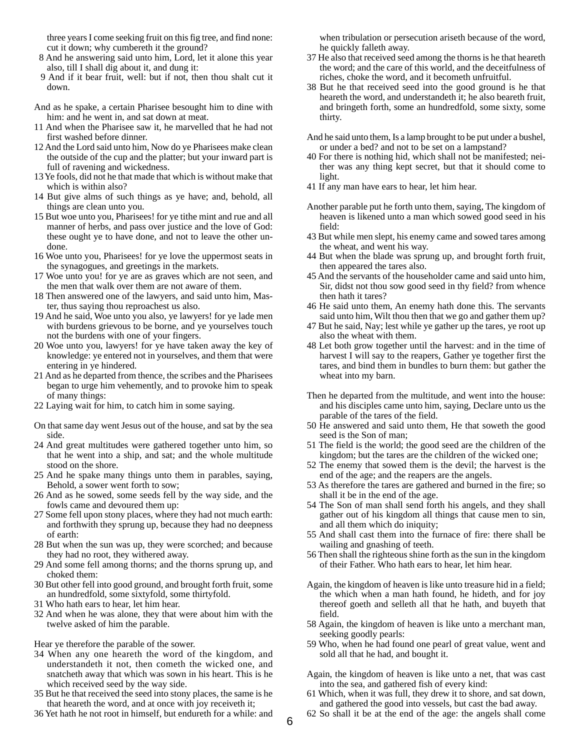three years I come seeking fruit on this fig tree, and find none: cut it down; why cumbereth it the ground?

- 8 And he answering said unto him, Lord, let it alone this year also, till I shall dig about it, and dung it:
- 9 And if it bear fruit, well: but if not, then thou shalt cut it down.
- And as he spake, a certain Pharisee besought him to dine with him: and he went in, and sat down at meat.
- 11 And when the Pharisee saw it, he marvelled that he had not first washed before dinner.
- 12 And the Lord said unto him, Now do ye Pharisees make clean the outside of the cup and the platter; but your inward part is full of ravening and wickedness.
- 13 Ye fools, did not he that made that which is without make that which is within also?
- 14 But give alms of such things as ye have; and, behold, all things are clean unto you.
- 15 But woe unto you, Pharisees! for ye tithe mint and rue and all manner of herbs, and pass over justice and the love of God: these ought ye to have done, and not to leave the other undone.
- 16 Woe unto you, Pharisees! for ye love the uppermost seats in the synagogues, and greetings in the markets.
- 17 Woe unto you! for ye are as graves which are not seen, and the men that walk over them are not aware of them.
- 18 Then answered one of the lawyers, and said unto him, Master, thus saying thou reproachest us also.
- 19 And he said, Woe unto you also, ye lawyers! for ye lade men with burdens grievous to be borne, and ye yourselves touch not the burdens with one of your fingers.
- 20 Woe unto you, lawyers! for ye have taken away the key of knowledge: ye entered not in yourselves, and them that were entering in ye hindered.
- 21 And as he departed from thence, the scribes and the Pharisees began to urge him vehemently, and to provoke him to speak of many things:
- 22 Laying wait for him, to catch him in some saying.
- On that same day went Jesus out of the house, and sat by the sea side.
- 24 And great multitudes were gathered together unto him, so that he went into a ship, and sat; and the whole multitude stood on the shore.
- 25 And he spake many things unto them in parables, saying, Behold, a sower went forth to sow;
- 26 And as he sowed, some seeds fell by the way side, and the fowls came and devoured them up:
- 27 Some fell upon stony places, where they had not much earth: and forthwith they sprung up, because they had no deepness of earth:
- 28 But when the sun was up, they were scorched; and because they had no root, they withered away.
- 29 And some fell among thorns; and the thorns sprung up, and choked them:
- 30 But other fell into good ground, and brought forth fruit, some an hundredfold, some sixtyfold, some thirtyfold.
- 31 Who hath ears to hear, let him hear.
- 32 And when he was alone, they that were about him with the twelve asked of him the parable.

Hear ye therefore the parable of the sower.

- 34 When any one heareth the word of the kingdom, and understandeth it not, then cometh the wicked one, and snatcheth away that which was sown in his heart. This is he which received seed by the way side.
- 35 But he that received the seed into stony places, the same is he that heareth the word, and at once with joy receiveth it;
- 36 Yet hath he not root in himself, but endureth for a while: and

when tribulation or persecution ariseth because of the word, he quickly falleth away.

- 37 He also that received seed among the thorns is he that heareth the word; and the care of this world, and the deceitfulness of riches, choke the word, and it becometh unfruitful.
- 38 But he that received seed into the good ground is he that heareth the word, and understandeth it; he also beareth fruit, and bringeth forth, some an hundredfold, some sixty, some thirty.
- And he said unto them, Is a lamp brought to be put under a bushel, or under a bed? and not to be set on a lampstand?
- 40 For there is nothing hid, which shall not be manifested; neither was any thing kept secret, but that it should come to light.
- 41 If any man have ears to hear, let him hear.
- Another parable put he forth unto them, saying, The kingdom of heaven is likened unto a man which sowed good seed in his field:
- 43 But while men slept, his enemy came and sowed tares among the wheat, and went his way.
- 44 But when the blade was sprung up, and brought forth fruit, then appeared the tares also.
- 45 And the servants of the householder came and said unto him, Sir, didst not thou sow good seed in thy field? from whence then hath it tares?
- 46 He said unto them, An enemy hath done this. The servants said unto him, Wilt thou then that we go and gather them up?
- 47 But he said, Nay; lest while ye gather up the tares, ye root up also the wheat with them.
- 48 Let both grow together until the harvest: and in the time of harvest I will say to the reapers, Gather ye together first the tares, and bind them in bundles to burn them: but gather the wheat into my barn.
- Then he departed from the multitude, and went into the house: and his disciples came unto him, saying, Declare unto us the parable of the tares of the field.
- 50 He answered and said unto them, He that soweth the good seed is the Son of man;
- 51 The field is the world; the good seed are the children of the kingdom; but the tares are the children of the wicked one;
- 52 The enemy that sowed them is the devil; the harvest is the end of the age; and the reapers are the angels.
- 53 As therefore the tares are gathered and burned in the fire; so shall it be in the end of the age.
- 54 The Son of man shall send forth his angels, and they shall gather out of his kingdom all things that cause men to sin, and all them which do iniquity;
- 55 And shall cast them into the furnace of fire: there shall be wailing and gnashing of teeth.
- 56 Then shall the righteous shine forth as the sun in the kingdom of their Father. Who hath ears to hear, let him hear.
- Again, the kingdom of heaven is like unto treasure hid in a field; the which when a man hath found, he hideth, and for joy thereof goeth and selleth all that he hath, and buyeth that field.
- 58 Again, the kingdom of heaven is like unto a merchant man, seeking goodly pearls:
- 59 Who, when he had found one pearl of great value, went and sold all that he had, and bought it.
- Again, the kingdom of heaven is like unto a net, that was cast into the sea, and gathered fish of every kind:
- 61 Which, when it was full, they drew it to shore, and sat down, and gathered the good into vessels, but cast the bad away.
- 62 So shall it be at the end of the age: the angels shall come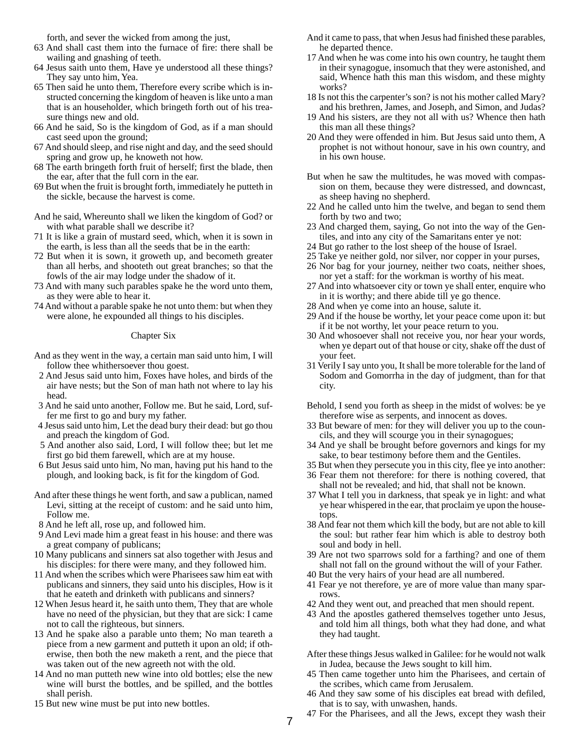forth, and sever the wicked from among the just,

- 63 And shall cast them into the furnace of fire: there shall be wailing and gnashing of teeth.
- 64 Jesus saith unto them, Have ye understood all these things? They say unto him, Yea.
- 65 Then said he unto them, Therefore every scribe which is instructed concerning the kingdom of heaven is like unto a man that is an householder, which bringeth forth out of his treasure things new and old.
- 66 And he said, So is the kingdom of God, as if a man should cast seed upon the ground;
- 67 And should sleep, and rise night and day, and the seed should spring and grow up, he knoweth not how.
- 68 The earth bringeth forth fruit of herself; first the blade, then the ear, after that the full corn in the ear.
- 69 But when the fruit is brought forth, immediately he putteth in the sickle, because the harvest is come.

And he said, Whereunto shall we liken the kingdom of God? or with what parable shall we describe it?

- 71 It is like a grain of mustard seed, which, when it is sown in the earth, is less than all the seeds that be in the earth:
- 72 But when it is sown, it groweth up, and becometh greater than all herbs, and shooteth out great branches; so that the fowls of the air may lodge under the shadow of it.
- 73 And with many such parables spake he the word unto them, as they were able to hear it.
- 74 And without a parable spake he not unto them: but when they were alone, he expounded all things to his disciples.

#### Chapter Six

- And as they went in the way, a certain man said unto him, I will follow thee whithersoever thou goest.
- 2 And Jesus said unto him, Foxes have holes, and birds of the air have nests; but the Son of man hath not where to lay his head.
- 3 And he said unto another, Follow me. But he said, Lord, suffer me first to go and bury my father.
- 4 Jesus said unto him, Let the dead bury their dead: but go thou and preach the kingdom of God.
- 5 And another also said, Lord, I will follow thee; but let me first go bid them farewell, which are at my house.
- 6 But Jesus said unto him, No man, having put his hand to the plough, and looking back, is fit for the kingdom of God.
- And after these things he went forth, and saw a publican, named Levi, sitting at the receipt of custom: and he said unto him, Follow me.
- 8 And he left all, rose up, and followed him.
- 9 And Levi made him a great feast in his house: and there was a great company of publicans;
- 10 Many publicans and sinners sat also together with Jesus and his disciples: for there were many, and they followed him.
- 11 And when the scribes which were Pharisees saw him eat with publicans and sinners, they said unto his disciples, How is it that he eateth and drinketh with publicans and sinners?
- 12 When Jesus heard it, he saith unto them, They that are whole have no need of the physician, but they that are sick: I came not to call the righteous, but sinners.
- 13 And he spake also a parable unto them; No man teareth a piece from a new garment and putteth it upon an old; if otherwise, then both the new maketh a rent, and the piece that was taken out of the new agreeth not with the old.
- 14 And no man putteth new wine into old bottles; else the new wine will burst the bottles, and be spilled, and the bottles shall perish.
- 15 But new wine must be put into new bottles.
- And it came to pass, that when Jesus had finished these parables, he departed thence.
- 17 And when he was come into his own country, he taught them in their synagogue, insomuch that they were astonished, and said, Whence hath this man this wisdom, and these mighty works?
- 18 Is not this the carpenter's son? is not his mother called Mary? and his brethren, James, and Joseph, and Simon, and Judas?
- 19 And his sisters, are they not all with us? Whence then hath this man all these things?
- 20 And they were offended in him. But Jesus said unto them, A prophet is not without honour, save in his own country, and in his own house.
- But when he saw the multitudes, he was moved with compassion on them, because they were distressed, and downcast, as sheep having no shepherd.
- 22 And he called unto him the twelve, and began to send them forth by two and two;
- 23 And charged them, saying, Go not into the way of the Gentiles, and into any city of the Samaritans enter ye not:
- 24 But go rather to the lost sheep of the house of Israel.
- 25 Take ye neither gold, nor silver, nor copper in your purses,
- 26 Nor bag for your journey, neither two coats, neither shoes, nor yet a staff: for the workman is worthy of his meat.
- 27 And into whatsoever city or town ye shall enter, enquire who in it is worthy; and there abide till ye go thence.
- 28 And when ye come into an house, salute it.
- 29 And if the house be worthy, let your peace come upon it: but if it be not worthy, let your peace return to you.
- 30 And whosoever shall not receive you, nor hear your words, when ye depart out of that house or city, shake off the dust of your feet.
- 31 Verily I say unto you, It shall be more tolerable for the land of Sodom and Gomorrha in the day of judgment, than for that city.
- Behold, I send you forth as sheep in the midst of wolves: be ye therefore wise as serpents, and innocent as doves.
- 33 But beware of men: for they will deliver you up to the councils, and they will scourge you in their synagogues;
- 34 And ye shall be brought before governors and kings for my sake, to bear testimony before them and the Gentiles.
- 35 But when they persecute you in this city, flee ye into another:
- 36 Fear them not therefore: for there is nothing covered, that shall not be revealed; and hid, that shall not be known.
- 37 What I tell you in darkness, that speak ye in light: and what ye hear whispered in the ear, that proclaim ye upon the housetops.
- 38 And fear not them which kill the body, but are not able to kill the soul: but rather fear him which is able to destroy both soul and body in hell.
- 39 Are not two sparrows sold for a farthing? and one of them shall not fall on the ground without the will of your Father.
- 40 But the very hairs of your head are all numbered.
- 41 Fear ye not therefore, ye are of more value than many sparrows.
- 42 And they went out, and preached that men should repent.
- 43 And the apostles gathered themselves together unto Jesus, and told him all things, both what they had done, and what they had taught.

After these things Jesus walked in Galilee: for he would not walk in Judea, because the Jews sought to kill him.

- 45 Then came together unto him the Pharisees, and certain of the scribes, which came from Jerusalem.
- 46 And they saw some of his disciples eat bread with defiled, that is to say, with unwashen, hands.
- 47 For the Pharisees, and all the Jews, except they wash their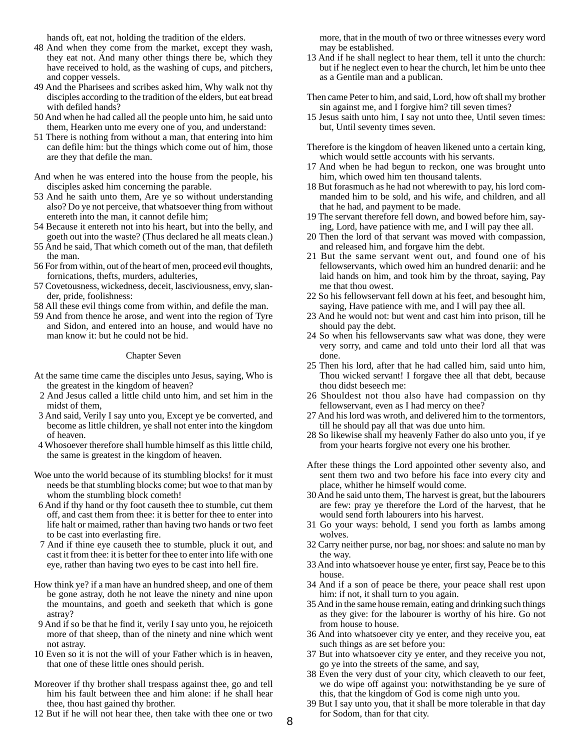hands oft, eat not, holding the tradition of the elders.

- 48 And when they come from the market, except they wash, they eat not. And many other things there be, which they have received to hold, as the washing of cups, and pitchers, and copper vessels.
- 49 And the Pharisees and scribes asked him, Why walk not thy disciples according to the tradition of the elders, but eat bread with defiled hands?
- 50 And when he had called all the people unto him, he said unto them, Hearken unto me every one of you, and understand:
- 51 There is nothing from without a man, that entering into him can defile him: but the things which come out of him, those are they that defile the man.
- And when he was entered into the house from the people, his disciples asked him concerning the parable.
- 53 And he saith unto them, Are ye so without understanding also? Do ye not perceive, that whatsoever thing from without entereth into the man, it cannot defile him;
- 54 Because it entereth not into his heart, but into the belly, and goeth out into the waste? (Thus declared he all meats clean.)
- 55 And he said, That which cometh out of the man, that defileth the man.
- 56 For from within, out of the heart of men, proceed evil thoughts, fornications, thefts, murders, adulteries,
- 57 Covetousness, wickedness, deceit, lasciviousness, envy, slander, pride, foolishness:
- 58 All these evil things come from within, and defile the man.
- 59 And from thence he arose, and went into the region of Tyre and Sidon, and entered into an house, and would have no man know it: but he could not be hid.

#### Chapter Seven

- At the same time came the disciples unto Jesus, saying, Who is the greatest in the kingdom of heaven?
- 2 And Jesus called a little child unto him, and set him in the midst of them,
- 3 And said, Verily I say unto you, Except ye be converted, and become as little children, ye shall not enter into the kingdom of heaven.
- 4 Whosoever therefore shall humble himself as this little child, the same is greatest in the kingdom of heaven.
- Woe unto the world because of its stumbling blocks! for it must needs be that stumbling blocks come; but woe to that man by whom the stumbling block cometh!
- 6 And if thy hand or thy foot causeth thee to stumble, cut them off, and cast them from thee: it is better for thee to enter into life halt or maimed, rather than having two hands or two feet to be cast into everlasting fire.
- 7 And if thine eye causeth thee to stumble, pluck it out, and cast it from thee: it is better for thee to enter into life with one eye, rather than having two eyes to be cast into hell fire.
- How think ye? if a man have an hundred sheep, and one of them be gone astray, doth he not leave the ninety and nine upon the mountains, and goeth and seeketh that which is gone astray?
- 9 And if so be that he find it, verily I say unto you, he rejoiceth more of that sheep, than of the ninety and nine which went not astray.
- 10 Even so it is not the will of your Father which is in heaven, that one of these little ones should perish.
- Moreover if thy brother shall trespass against thee, go and tell him his fault between thee and him alone: if he shall hear thee, thou hast gained thy brother.
- 12 But if he will not hear thee, then take with thee one or two

more, that in the mouth of two or three witnesses every word may be established.

- 13 And if he shall neglect to hear them, tell it unto the church: but if he neglect even to hear the church, let him be unto thee as a Gentile man and a publican.
- Then came Peter to him, and said, Lord, how oft shall my brother sin against me, and I forgive him? till seven times?
- 15 Jesus saith unto him, I say not unto thee, Until seven times: but, Until seventy times seven.
- Therefore is the kingdom of heaven likened unto a certain king, which would settle accounts with his servants.
- 17 And when he had begun to reckon, one was brought unto him, which owed him ten thousand talents.
- 18 But forasmuch as he had not wherewith to pay, his lord commanded him to be sold, and his wife, and children, and all that he had, and payment to be made.
- 19 The servant therefore fell down, and bowed before him, saying, Lord, have patience with me, and I will pay thee all.
- 20 Then the lord of that servant was moved with compassion, and released him, and forgave him the debt.
- 21 But the same servant went out, and found one of his fellowservants, which owed him an hundred denarii: and he laid hands on him, and took him by the throat, saying, Pay me that thou owest.
- 22 So his fellowservant fell down at his feet, and besought him, saying, Have patience with me, and I will pay thee all.
- 23 And he would not: but went and cast him into prison, till he should pay the debt.
- 24 So when his fellowservants saw what was done, they were very sorry, and came and told unto their lord all that was done.
- 25 Then his lord, after that he had called him, said unto him, Thou wicked servant! I forgave thee all that debt, because thou didst beseech me:
- 26 Shouldest not thou also have had compassion on thy fellowservant, even as I had mercy on thee?
- 27 And his lord was wroth, and delivered him to the tormentors, till he should pay all that was due unto him.
- 28 So likewise shall my heavenly Father do also unto you, if ye from your hearts forgive not every one his brother.
- After these things the Lord appointed other seventy also, and sent them two and two before his face into every city and place, whither he himself would come.
- 30 And he said unto them, The harvest is great, but the labourers are few: pray ye therefore the Lord of the harvest, that he would send forth labourers into his harvest.
- 31 Go your ways: behold, I send you forth as lambs among wolves.
- 32 Carry neither purse, nor bag, nor shoes: and salute no man by the way.
- 33 And into whatsoever house ye enter, first say, Peace be to this house.
- 34 And if a son of peace be there, your peace shall rest upon him: if not, it shall turn to you again.
- 35 And in the same house remain, eating and drinking such things as they give: for the labourer is worthy of his hire. Go not from house to house.
- 36 And into whatsoever city ye enter, and they receive you, eat such things as are set before you:
- 37 But into whatsoever city ye enter, and they receive you not, go ye into the streets of the same, and say,
- 38 Even the very dust of your city, which cleaveth to our feet, we do wipe off against you: notwithstanding be ye sure of this, that the kingdom of God is come nigh unto you.
- 39 But I say unto you, that it shall be more tolerable in that day for Sodom, than for that city.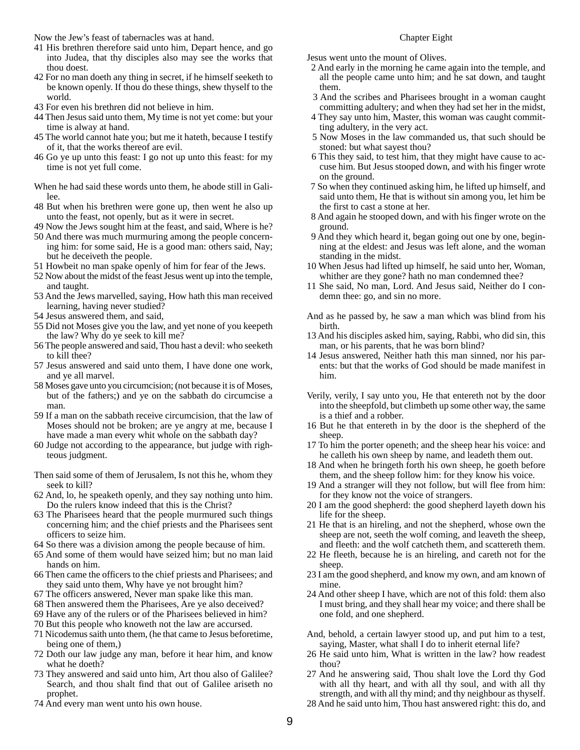Now the Jew's feast of tabernacles was at hand.

- 41 His brethren therefore said unto him, Depart hence, and go into Judea, that thy disciples also may see the works that thou doest.
- 42 For no man doeth any thing in secret, if he himself seeketh to be known openly. If thou do these things, shew thyself to the world.
- 43 For even his brethren did not believe in him.
- 44 Then Jesus said unto them, My time is not yet come: but your time is alway at hand.
- 45 The world cannot hate you; but me it hateth, because I testify of it, that the works thereof are evil.
- 46 Go ye up unto this feast: I go not up unto this feast: for my time is not yet full come.
- When he had said these words unto them, he abode still in Galilee.
- 48 But when his brethren were gone up, then went he also up unto the feast, not openly, but as it were in secret.
- 49 Now the Jews sought him at the feast, and said, Where is he?
- 50 And there was much murmuring among the people concerning him: for some said, He is a good man: others said, Nay; but he deceiveth the people.
- 51 Howbeit no man spake openly of him for fear of the Jews.
- 52 Now about the midst of the feast Jesus went up into the temple, and taught.
- 53 And the Jews marvelled, saying, How hath this man received learning, having never studied?
- 54 Jesus answered them, and said,
- 55 Did not Moses give you the law, and yet none of you keepeth the law? Why do ye seek to kill me?
- 56 The people answered and said, Thou hast a devil: who seeketh to kill thee?
- 57 Jesus answered and said unto them, I have done one work, and ye all marvel.
- 58 Moses gave unto you circumcision; (not because it is of Moses, but of the fathers;) and ye on the sabbath do circumcise a man.
- 59 If a man on the sabbath receive circumcision, that the law of Moses should not be broken; are ye angry at me, because I have made a man every whit whole on the sabbath day?
- 60 Judge not according to the appearance, but judge with righteous judgment.
- Then said some of them of Jerusalem, Is not this he, whom they seek to kill?
- 62 And, lo, he speaketh openly, and they say nothing unto him. Do the rulers know indeed that this is the Christ?
- 63 The Pharisees heard that the people murmured such things concerning him; and the chief priests and the Pharisees sent officers to seize him.
- 64 So there was a division among the people because of him.
- 65 And some of them would have seized him; but no man laid hands on him.
- 66 Then came the officers to the chief priests and Pharisees; and they said unto them, Why have ye not brought him?
- 67 The officers answered, Never man spake like this man.
- 68 Then answered them the Pharisees, Are ye also deceived?
- 69 Have any of the rulers or of the Pharisees believed in him?
- 70 But this people who knoweth not the law are accursed.
- 71 Nicodemus saith unto them, (he that came to Jesus beforetime, being one of them,)
- 72 Doth our law judge any man, before it hear him, and know what he doeth?
- 73 They answered and said unto him, Art thou also of Galilee? Search, and thou shalt find that out of Galilee ariseth no prophet.
- 74 And every man went unto his own house.

#### Chapter Eight

Jesus went unto the mount of Olives.

- 2 And early in the morning he came again into the temple, and all the people came unto him; and he sat down, and taught them.
- 3 And the scribes and Pharisees brought in a woman caught committing adultery; and when they had set her in the midst,
- 4 They say unto him, Master, this woman was caught committing adultery, in the very act.
- 5 Now Moses in the law commanded us, that such should be stoned: but what sayest thou?
- 6 This they said, to test him, that they might have cause to accuse him. But Jesus stooped down, and with his finger wrote on the ground.
- 7 So when they continued asking him, he lifted up himself, and said unto them, He that is without sin among you, let him be the first to cast a stone at her.
- 8 And again he stooped down, and with his finger wrote on the ground.
- 9 And they which heard it, began going out one by one, beginning at the eldest: and Jesus was left alone, and the woman standing in the midst.
- 10 When Jesus had lifted up himself, he said unto her, Woman, whither are they gone? hath no man condemned thee?
- 11 She said, No man, Lord. And Jesus said, Neither do I condemn thee: go, and sin no more.
- And as he passed by, he saw a man which was blind from his birth.
- 13 And his disciples asked him, saying, Rabbi, who did sin, this man, or his parents, that he was born blind?
- 14 Jesus answered, Neither hath this man sinned, nor his parents: but that the works of God should be made manifest in him.
- Verily, verily, I say unto you, He that entereth not by the door into the sheepfold, but climbeth up some other way, the same is a thief and a robber.
- 16 But he that entereth in by the door is the shepherd of the sheep.
- 17 To him the porter openeth; and the sheep hear his voice: and he calleth his own sheep by name, and leadeth them out.
- 18 And when he bringeth forth his own sheep, he goeth before them, and the sheep follow him: for they know his voice.
- 19 And a stranger will they not follow, but will flee from him: for they know not the voice of strangers.
- 20 I am the good shepherd: the good shepherd layeth down his life for the sheep.
- 21 He that is an hireling, and not the shepherd, whose own the sheep are not, seeth the wolf coming, and leaveth the sheep, and fleeth: and the wolf catcheth them, and scattereth them.
- 22 He fleeth, because he is an hireling, and careth not for the sheep.
- 23 I am the good shepherd, and know my own, and am known of mine.
- 24 And other sheep I have, which are not of this fold: them also I must bring, and they shall hear my voice; and there shall be one fold, and one shepherd.
- And, behold, a certain lawyer stood up, and put him to a test, saying, Master, what shall I do to inherit eternal life?
- 26 He said unto him, What is written in the law? how readest thou?
- 27 And he answering said, Thou shalt love the Lord thy God with all thy heart, and with all thy soul, and with all thy strength, and with all thy mind; and thy neighbour as thyself.
- 28 And he said unto him, Thou hast answered right: this do, and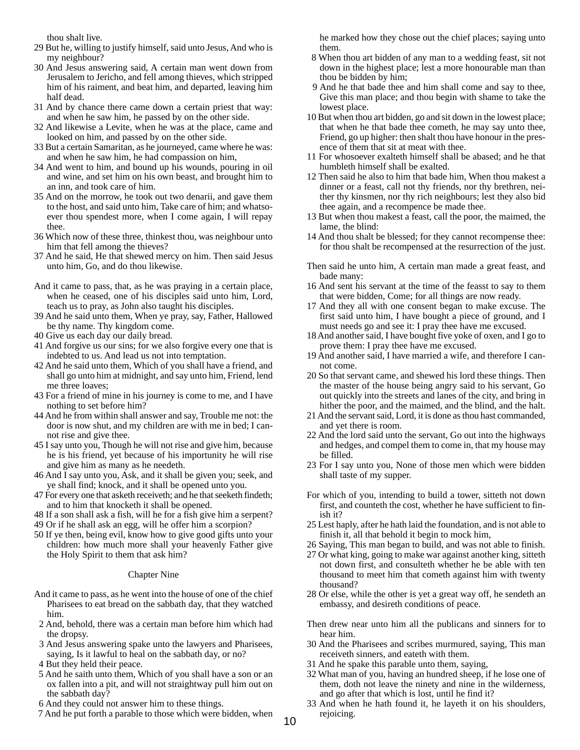thou shalt live.

- 29 But he, willing to justify himself, said unto Jesus, And who is my neighbour?
- 30 And Jesus answering said, A certain man went down from Jerusalem to Jericho, and fell among thieves, which stripped him of his raiment, and beat him, and departed, leaving him half dead.
- 31 And by chance there came down a certain priest that way: and when he saw him, he passed by on the other side.
- 32 And likewise a Levite, when he was at the place, came and looked on him, and passed by on the other side.
- 33 But a certain Samaritan, as he journeyed, came where he was: and when he saw him, he had compassion on him,
- 34 And went to him, and bound up his wounds, pouring in oil and wine, and set him on his own beast, and brought him to an inn, and took care of him.
- 35 And on the morrow, he took out two denarii, and gave them to the host, and said unto him, Take care of him; and whatsoever thou spendest more, when I come again, I will repay thee.
- 36 Which now of these three, thinkest thou, was neighbour unto him that fell among the thieves?
- 37 And he said, He that shewed mercy on him. Then said Jesus unto him, Go, and do thou likewise.
- And it came to pass, that, as he was praying in a certain place, when he ceased, one of his disciples said unto him, Lord, teach us to pray, as John also taught his disciples.
- 39 And he said unto them, When ye pray, say, Father, Hallowed be thy name. Thy kingdom come.
- 40 Give us each day our daily bread.
- 41 And forgive us our sins; for we also forgive every one that is indebted to us. And lead us not into temptation.
- 42 And he said unto them, Which of you shall have a friend, and shall go unto him at midnight, and say unto him, Friend, lend me three loaves;
- 43 For a friend of mine in his journey is come to me, and I have nothing to set before him?
- 44 And he from within shall answer and say, Trouble me not: the door is now shut, and my children are with me in bed; I cannot rise and give thee.
- 45 I say unto you, Though he will not rise and give him, because he is his friend, yet because of his importunity he will rise and give him as many as he needeth.
- 46 And I say unto you, Ask, and it shall be given you; seek, and ye shall find; knock, and it shall be opened unto you.
- 47 For every one that asketh receiveth; and he that seeketh findeth; and to him that knocketh it shall be opened.
- 48 If a son shall ask a fish, will he for a fish give him a serpent?
- 49 Or if he shall ask an egg, will he offer him a scorpion?
- 50 If ye then, being evil, know how to give good gifts unto your children: how much more shall your heavenly Father give the Holy Spirit to them that ask him?

## Chapter Nine

- And it came to pass, as he went into the house of one of the chief Pharisees to eat bread on the sabbath day, that they watched him.
- 2 And, behold, there was a certain man before him which had the dropsy.
- 3 And Jesus answering spake unto the lawyers and Pharisees, saying, Is it lawful to heal on the sabbath day, or no?
- 4 But they held their peace.
- 5 And he saith unto them, Which of you shall have a son or an ox fallen into a pit, and will not straightway pull him out on the sabbath day?
- 6 And they could not answer him to these things.
- 7 And he put forth a parable to those which were bidden, when

he marked how they chose out the chief places; saying unto them.

- 8 When thou art bidden of any man to a wedding feast, sit not down in the highest place; lest a more honourable man than thou be bidden by him;
- 9 And he that bade thee and him shall come and say to thee, Give this man place; and thou begin with shame to take the lowest place.
- 10 But when thou art bidden, go and sit down in the lowest place; that when he that bade thee cometh, he may say unto thee, Friend, go up higher: then shalt thou have honour in the presence of them that sit at meat with thee.
- 11 For whosoever exalteth himself shall be abased; and he that humbleth himself shall be exalted.
- 12 Then said he also to him that bade him, When thou makest a dinner or a feast, call not thy friends, nor thy brethren, neither thy kinsmen, nor thy rich neighbours; lest they also bid thee again, and a recompence be made thee.
- 13 But when thou makest a feast, call the poor, the maimed, the lame, the blind:
- 14 And thou shalt be blessed; for they cannot recompense thee: for thou shalt be recompensed at the resurrection of the just.
- Then said he unto him, A certain man made a great feast, and bade many:
- 16 And sent his servant at the time of the feasst to say to them that were bidden, Come; for all things are now ready.
- 17 And they all with one consent began to make excuse. The first said unto him, I have bought a piece of ground, and I must needs go and see it: I pray thee have me excused.
- 18 And another said, I have bought five yoke of oxen, and I go to prove them: I pray thee have me excused.
- 19 And another said, I have married a wife, and therefore I cannot come.
- 20 So that servant came, and shewed his lord these things. Then the master of the house being angry said to his servant, Go out quickly into the streets and lanes of the city, and bring in hither the poor, and the maimed, and the blind, and the halt.
- 21 And the servant said, Lord, it is done as thou hast commanded, and yet there is room.
- 22 And the lord said unto the servant, Go out into the highways and hedges, and compel them to come in, that my house may be filled.
- 23 For I say unto you, None of those men which were bidden shall taste of my supper.
- For which of you, intending to build a tower, sitteth not down first, and counteth the cost, whether he have sufficient to finish it?
- 25 Lest haply, after he hath laid the foundation, and is not able to finish it, all that behold it begin to mock him,
- 26 Saying, This man began to build, and was not able to finish.
- 27 Or what king, going to make war against another king, sitteth not down first, and consulteth whether he be able with ten thousand to meet him that cometh against him with twenty thousand?
- 28 Or else, while the other is yet a great way off, he sendeth an embassy, and desireth conditions of peace.
- Then drew near unto him all the publicans and sinners for to hear him.
- 30 And the Pharisees and scribes murmured, saying, This man receiveth sinners, and eateth with them.
- 31 And he spake this parable unto them, saying,
- 32 What man of you, having an hundred sheep, if he lose one of them, doth not leave the ninety and nine in the wilderness, and go after that which is lost, until he find it?
- 33 And when he hath found it, he layeth it on his shoulders, rejoicing.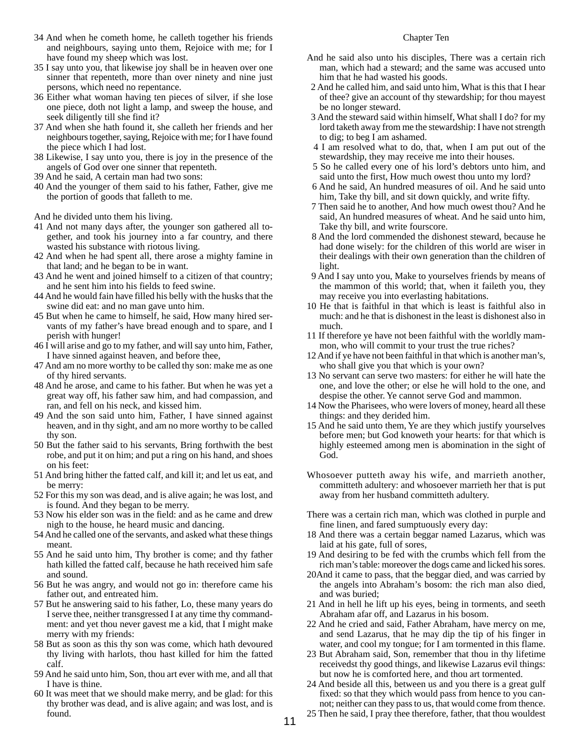- 34 And when he cometh home, he calleth together his friends and neighbours, saying unto them, Rejoice with me; for I have found my sheep which was lost.
- 35 I say unto you, that likewise joy shall be in heaven over one sinner that repenteth, more than over ninety and nine just persons, which need no repentance.
- 36 Either what woman having ten pieces of silver, if she lose one piece, doth not light a lamp, and sweep the house, and seek diligently till she find it?
- 37 And when she hath found it, she calleth her friends and her neighbours together, saying, Rejoice with me; for I have found the piece which I had lost.
- 38 Likewise, I say unto you, there is joy in the presence of the angels of God over one sinner that repenteth.
- 39 And he said, A certain man had two sons:
- 40 And the younger of them said to his father, Father, give me the portion of goods that falleth to me.

And he divided unto them his living.

- 41 And not many days after, the younger son gathered all together, and took his journey into a far country, and there wasted his substance with riotous living.
- 42 And when he had spent all, there arose a mighty famine in that land; and he began to be in want.
- 43 And he went and joined himself to a citizen of that country; and he sent him into his fields to feed swine.
- 44 And he would fain have filled his belly with the husks that the swine did eat: and no man gave unto him.
- 45 But when he came to himself, he said, How many hired servants of my father's have bread enough and to spare, and I perish with hunger!
- 46 I will arise and go to my father, and will say unto him, Father, I have sinned against heaven, and before thee,
- 47 And am no more worthy to be called thy son: make me as one of thy hired servants.
- 48 And he arose, and came to his father. But when he was yet a great way off, his father saw him, and had compassion, and ran, and fell on his neck, and kissed him.
- 49 And the son said unto him, Father, I have sinned against heaven, and in thy sight, and am no more worthy to be called thy son.
- 50 But the father said to his servants, Bring forthwith the best robe, and put it on him; and put a ring on his hand, and shoes on his feet:
- 51 And bring hither the fatted calf, and kill it; and let us eat, and be merry:
- 52 For this my son was dead, and is alive again; he was lost, and is found. And they began to be merry.
- 53 Now his elder son was in the field: and as he came and drew nigh to the house, he heard music and dancing.
- 54 And he called one of the servants, and asked what these things meant.
- 55 And he said unto him, Thy brother is come; and thy father hath killed the fatted calf, because he hath received him safe and sound.
- 56 But he was angry, and would not go in: therefore came his father out, and entreated him.
- 57 But he answering said to his father, Lo, these many years do I serve thee, neither transgressed I at any time thy commandment: and yet thou never gavest me a kid, that I might make merry with my friends:
- 58 But as soon as this thy son was come, which hath devoured thy living with harlots, thou hast killed for him the fatted calf.
- 59 And he said unto him, Son, thou art ever with me, and all that I have is thine.
- 60 It was meet that we should make merry, and be glad: for this thy brother was dead, and is alive again; and was lost, and is found.

## Chapter Ten

- And he said also unto his disciples, There was a certain rich man, which had a steward; and the same was accused unto him that he had wasted his goods.
- 2 And he called him, and said unto him, What is this that I hear of thee? give an account of thy stewardship; for thou mayest be no longer steward.
- 3 And the steward said within himself, What shall I do? for my lord taketh away from me the stewardship: I have not strength to dig; to beg I am ashamed.
- 4 I am resolved what to do, that, when I am put out of the stewardship, they may receive me into their houses.
- 5 So he called every one of his lord's debtors unto him, and said unto the first, How much owest thou unto my lord?
- 6 And he said, An hundred measures of oil. And he said unto him, Take thy bill, and sit down quickly, and write fifty.
- 7 Then said he to another, And how much owest thou? And he said, An hundred measures of wheat. And he said unto him, Take thy bill, and write fourscore.
- 8 And the lord commended the dishonest steward, because he had done wisely: for the children of this world are wiser in their dealings with their own generation than the children of light.
- 9 And I say unto you, Make to yourselves friends by means of the mammon of this world; that, when it faileth you, they may receive you into everlasting habitations.
- 10 He that is faithful in that which is least is faithful also in much: and he that is dishonest in the least is dishonest also in much.
- 11 If therefore ye have not been faithful with the worldly mammon, who will commit to your trust the true riches?
- 12 And if ye have not been faithful in that which is another man's, who shall give you that which is your own?
- 13 No servant can serve two masters: for either he will hate the one, and love the other; or else he will hold to the one, and despise the other. Ye cannot serve God and mammon.
- 14 Now the Pharisees, who were lovers of money, heard all these things: and they derided him.
- 15 And he said unto them, Ye are they which justify yourselves before men; but God knoweth your hearts: for that which is highly esteemed among men is abomination in the sight of God.
- Whosoever putteth away his wife, and marrieth another, committeth adultery: and whosoever marrieth her that is put away from her husband committeth adultery.
- There was a certain rich man, which was clothed in purple and fine linen, and fared sumptuously every day:
- 18 And there was a certain beggar named Lazarus, which was laid at his gate, full of sores,
- 19 And desiring to be fed with the crumbs which fell from the rich man's table: moreover the dogs came and licked his sores.
- 20And it came to pass, that the beggar died, and was carried by the angels into Abraham's bosom: the rich man also died, and was buried;
- 21 And in hell he lift up his eyes, being in torments, and seeth Abraham afar off, and Lazarus in his bosom.
- 22 And he cried and said, Father Abraham, have mercy on me, and send Lazarus, that he may dip the tip of his finger in water, and cool my tongue; for I am tormented in this flame.
- 23 But Abraham said, Son, remember that thou in thy lifetime receivedst thy good things, and likewise Lazarus evil things: but now he is comforted here, and thou art tormented.
- 24 And beside all this, between us and you there is a great gulf fixed: so that they which would pass from hence to you cannot; neither can they pass to us, that would come from thence.
- 25 Then he said, I pray thee therefore, father, that thou wouldest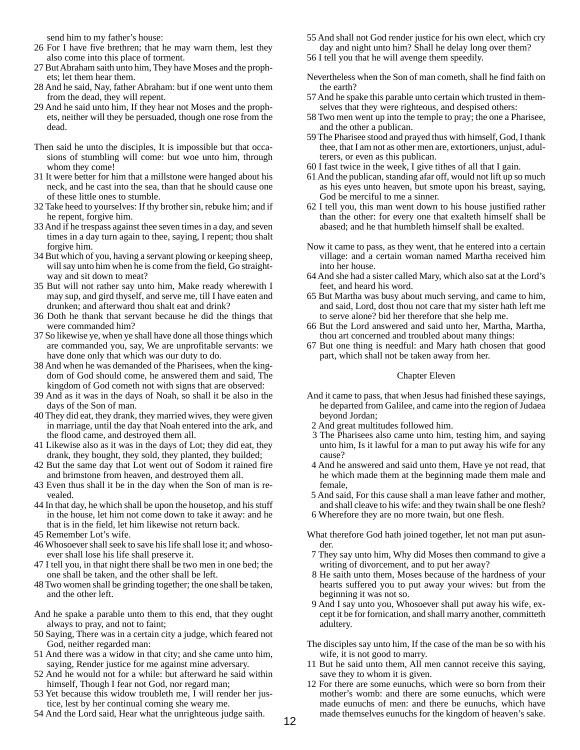send him to my father's house:

- 26 For I have five brethren; that he may warn them, lest they also come into this place of torment.
- 27 But Abraham saith unto him, They have Moses and the prophets; let them hear them.
- 28 And he said, Nay, father Abraham: but if one went unto them from the dead, they will repent.
- 29 And he said unto him, If they hear not Moses and the prophets, neither will they be persuaded, though one rose from the dead.
- Then said he unto the disciples, It is impossible but that occasions of stumbling will come: but woe unto him, through whom they come!
- 31 It were better for him that a millstone were hanged about his neck, and he cast into the sea, than that he should cause one of these little ones to stumble.
- 32 Take heed to yourselves: If thy brother sin, rebuke him; and if he repent, forgive him.
- 33 And if he trespass against thee seven times in a day, and seven times in a day turn again to thee, saying, I repent; thou shalt forgive him.
- 34 But which of you, having a servant plowing or keeping sheep, will say unto him when he is come from the field, Go straightway and sit down to meat?
- 35 But will not rather say unto him, Make ready wherewith I may sup, and gird thyself, and serve me, till I have eaten and drunken; and afterward thou shalt eat and drink?
- 36 Doth he thank that servant because he did the things that were commanded him?
- 37 So likewise ye, when ye shall have done all those things which are commanded you, say, We are unprofitable servants: we have done only that which was our duty to do.
- 38 And when he was demanded of the Pharisees, when the kingdom of God should come, he answered them and said, The kingdom of God cometh not with signs that are observed:
- 39 And as it was in the days of Noah, so shall it be also in the days of the Son of man.
- 40 They did eat, they drank, they married wives, they were given in marriage, until the day that Noah entered into the ark, and the flood came, and destroyed them all.
- 41 Likewise also as it was in the days of Lot; they did eat, they drank, they bought, they sold, they planted, they builded;
- 42 But the same day that Lot went out of Sodom it rained fire and brimstone from heaven, and destroyed them all.
- 43 Even thus shall it be in the day when the Son of man is revealed.
- 44 In that day, he which shall be upon the housetop, and his stuff in the house, let him not come down to take it away: and he that is in the field, let him likewise not return back.
- 45 Remember Lot's wife.
- 46 Whosoever shall seek to save his life shall lose it; and whosoever shall lose his life shall preserve it.
- 47 I tell you, in that night there shall be two men in one bed; the one shall be taken, and the other shall be left.
- 48 Two women shall be grinding together; the one shall be taken, and the other left.
- And he spake a parable unto them to this end, that they ought always to pray, and not to faint;
- 50 Saying, There was in a certain city a judge, which feared not God, neither regarded man:
- 51 And there was a widow in that city; and she came unto him, saying, Render justice for me against mine adversary.
- 52 And he would not for a while: but afterward he said within himself, Though I fear not God, nor regard man;
- 53 Yet because this widow troubleth me, I will render her justice, lest by her continual coming she weary me.
- 54 And the Lord said, Hear what the unrighteous judge saith.
- 55 And shall not God render justice for his own elect, which cry day and night unto him? Shall he delay long over them?
- 56 I tell you that he will avenge them speedily.
- Nevertheless when the Son of man cometh, shall he find faith on the earth?
- 57 And he spake this parable unto certain which trusted in themselves that they were righteous, and despised others:
- 58 Two men went up into the temple to pray; the one a Pharisee, and the other a publican.
- 59 The Pharisee stood and prayed thus with himself, God, I thank thee, that I am not as other men are, extortioners, unjust, adulterers, or even as this publican.
- 60 I fast twice in the week, I give tithes of all that I gain.
- 61 And the publican, standing afar off, would not lift up so much as his eyes unto heaven, but smote upon his breast, saying, God be merciful to me a sinner.
- 62 I tell you, this man went down to his house justified rather than the other: for every one that exalteth himself shall be abased; and he that humbleth himself shall be exalted.
- Now it came to pass, as they went, that he entered into a certain village: and a certain woman named Martha received him into her house.
- 64 And she had a sister called Mary, which also sat at the Lord's feet, and heard his word.
- 65 But Martha was busy about much serving, and came to him, and said, Lord, dost thou not care that my sister hath left me to serve alone? bid her therefore that she help me.
- 66 But the Lord answered and said unto her, Martha, Martha, thou art concerned and troubled about many things:
- 67 But one thing is needful: and Mary hath chosen that good part, which shall not be taken away from her.

## Chapter Eleven

- And it came to pass, that when Jesus had finished these sayings, he departed from Galilee, and came into the region of Judaea beyond Jordan;
- 2 And great multitudes followed him.
- 3 The Pharisees also came unto him, testing him, and saying unto him, Is it lawful for a man to put away his wife for any cause?
- 4 And he answered and said unto them, Have ye not read, that he which made them at the beginning made them male and female,
- 5 And said, For this cause shall a man leave father and mother, and shall cleave to his wife: and they twain shall be one flesh?
- 6 Wherefore they are no more twain, but one flesh.
- What therefore God hath joined together, let not man put asunder.
- 7 They say unto him, Why did Moses then command to give a writing of divorcement, and to put her away?
- 8 He saith unto them, Moses because of the hardness of your hearts suffered you to put away your wives: but from the beginning it was not so.
- 9 And I say unto you, Whosoever shall put away his wife, except it be for fornication, and shall marry another, committeth adultery.
- The disciples say unto him, If the case of the man be so with his wife, it is not good to marry.
- 11 But he said unto them, All men cannot receive this saying, save they to whom it is given.
- 12 For there are some eunuchs, which were so born from their mother's womb: and there are some eunuchs, which were made eunuchs of men: and there be eunuchs, which have made themselves eunuchs for the kingdom of heaven's sake.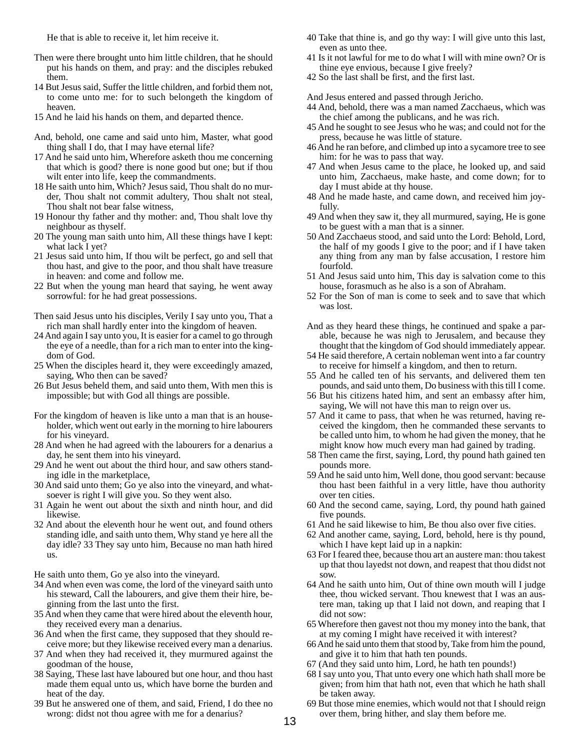He that is able to receive it, let him receive it.

- Then were there brought unto him little children, that he should put his hands on them, and pray: and the disciples rebuked them.
- 14 But Jesus said, Suffer the little children, and forbid them not, to come unto me: for to such belongeth the kingdom of heaven.
- 15 And he laid his hands on them, and departed thence.
- And, behold, one came and said unto him, Master, what good thing shall I do, that I may have eternal life?
- 17 And he said unto him, Wherefore asketh thou me concerning that which is good? there is none good but one; but if thou wilt enter into life, keep the commandments.
- 18 He saith unto him, Which? Jesus said, Thou shalt do no murder, Thou shalt not commit adultery, Thou shalt not steal, Thou shalt not bear false witness,
- 19 Honour thy father and thy mother: and, Thou shalt love thy neighbour as thyself.
- 20 The young man saith unto him, All these things have I kept: what lack I yet?
- 21 Jesus said unto him, If thou wilt be perfect, go and sell that thou hast, and give to the poor, and thou shalt have treasure in heaven: and come and follow me.
- 22 But when the young man heard that saying, he went away sorrowful: for he had great possessions.

Then said Jesus unto his disciples, Verily I say unto you, That a rich man shall hardly enter into the kingdom of heaven.

- 24 And again I say unto you, It is easier for a camel to go through the eye of a needle, than for a rich man to enter into the kingdom of God.
- 25 When the disciples heard it, they were exceedingly amazed, saying, Who then can be saved?
- 26 But Jesus beheld them, and said unto them, With men this is impossible; but with God all things are possible.
- For the kingdom of heaven is like unto a man that is an householder, which went out early in the morning to hire labourers for his vineyard.
- 28 And when he had agreed with the labourers for a denarius a day, he sent them into his vineyard.
- 29 And he went out about the third hour, and saw others standing idle in the marketplace,
- 30 And said unto them; Go ye also into the vineyard, and whatsoever is right I will give you. So they went also.
- 31 Again he went out about the sixth and ninth hour, and did likewise.
- 32 And about the eleventh hour he went out, and found others standing idle, and saith unto them, Why stand ye here all the day idle? 33 They say unto him, Because no man hath hired us.

He saith unto them, Go ye also into the vineyard.

- 34 And when even was come, the lord of the vineyard saith unto his steward, Call the labourers, and give them their hire, beginning from the last unto the first.
- 35 And when they came that were hired about the eleventh hour, they received every man a denarius.
- 36 And when the first came, they supposed that they should receive more; but they likewise received every man a denarius.
- 37 And when they had received it, they murmured against the goodman of the house,
- 38 Saying, These last have laboured but one hour, and thou hast made them equal unto us, which have borne the burden and heat of the day.
- 39 But he answered one of them, and said, Friend, I do thee no wrong: didst not thou agree with me for a denarius?
- 40 Take that thine is, and go thy way: I will give unto this last, even as unto thee.
- 41 Is it not lawful for me to do what I will with mine own? Or is thine eye envious, because I give freely?
- 42 So the last shall be first, and the first last.

And Jesus entered and passed through Jericho.

- 44 And, behold, there was a man named Zacchaeus, which was the chief among the publicans, and he was rich.
- 45 And he sought to see Jesus who he was; and could not for the press, because he was little of stature.
- 46 And he ran before, and climbed up into a sycamore tree to see him: for he was to pass that way.
- 47 And when Jesus came to the place, he looked up, and said unto him, Zacchaeus, make haste, and come down; for to day I must abide at thy house.
- 48 And he made haste, and came down, and received him joyfully.
- 49 And when they saw it, they all murmured, saying, He is gone to be guest with a man that is a sinner.
- 50 And Zacchaeus stood, and said unto the Lord: Behold, Lord, the half of my goods I give to the poor; and if I have taken any thing from any man by false accusation, I restore him fourfold.
- 51 And Jesus said unto him, This day is salvation come to this house, forasmuch as he also is a son of Abraham.
- 52 For the Son of man is come to seek and to save that which was lost.
- And as they heard these things, he continued and spake a parable, because he was nigh to Jerusalem, and because they thought that the kingdom of God should immediately appear.
- 54 He said therefore, A certain nobleman went into a far country to receive for himself a kingdom, and then to return.
- 55 And he called ten of his servants, and delivered them ten pounds, and said unto them, Do business with this till I come.
- 56 But his citizens hated him, and sent an embassy after him, saying, We will not have this man to reign over us.
- 57 And it came to pass, that when he was returned, having received the kingdom, then he commanded these servants to be called unto him, to whom he had given the money, that he might know how much every man had gained by trading.
- 58 Then came the first, saying, Lord, thy pound hath gained ten pounds more.
- 59 And he said unto him, Well done, thou good servant: because thou hast been faithful in a very little, have thou authority over ten cities.
- 60 And the second came, saying, Lord, thy pound hath gained five pounds.
- 61 And he said likewise to him, Be thou also over five cities.
- 62 And another came, saying, Lord, behold, here is thy pound, which I have kept laid up in a napkin:
- 63 For I feared thee, because thou art an austere man: thou takest up that thou layedst not down, and reapest that thou didst not sow.
- 64 And he saith unto him, Out of thine own mouth will I judge thee, thou wicked servant. Thou knewest that I was an austere man, taking up that I laid not down, and reaping that I did not sow:
- 65 Wherefore then gavest not thou my money into the bank, that at my coming I might have received it with interest?
- 66 And he said unto them that stood by, Take from him the pound, and give it to him that hath ten pounds.
- 67 (And they said unto him, Lord, he hath ten pounds!)
- 68 I say unto you, That unto every one which hath shall more be given; from him that hath not, even that which he hath shall be taken away.
- 69 But those mine enemies, which would not that I should reign over them, bring hither, and slay them before me.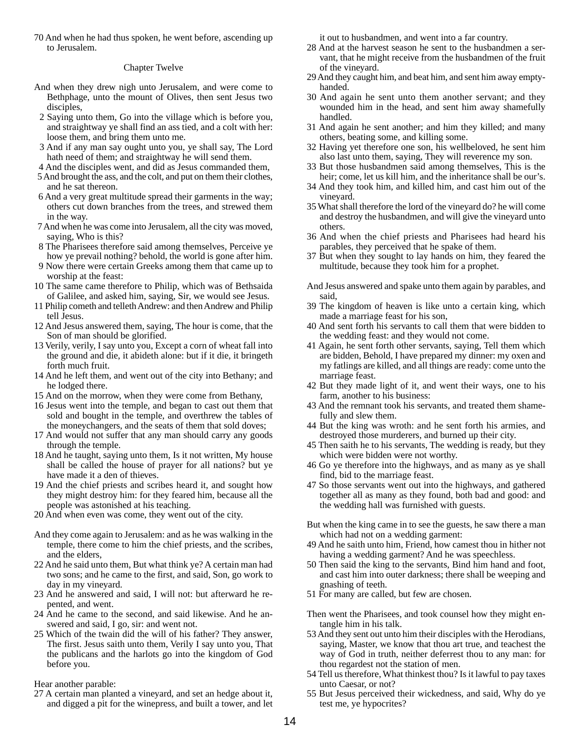70 And when he had thus spoken, he went before, ascending up to Jerusalem.

## Chapter Twelve

- And when they drew nigh unto Jerusalem, and were come to Bethphage, unto the mount of Olives, then sent Jesus two disciples,
- 2 Saying unto them, Go into the village which is before you, and straightway ye shall find an ass tied, and a colt with her: loose them, and bring them unto me.
- 3 And if any man say ought unto you, ye shall say, The Lord hath need of them; and straightway he will send them.
- 4 And the disciples went, and did as Jesus commanded them,
- 5 And brought the ass, and the colt, and put on them their clothes, and he sat thereon.
- 6 And a very great multitude spread their garments in the way; others cut down branches from the trees, and strewed them in the way.
- 7 And when he was come into Jerusalem, all the city was moved, saying, Who is this?
- 8 The Pharisees therefore said among themselves, Perceive ye how ye prevail nothing? behold, the world is gone after him.
- 9 Now there were certain Greeks among them that came up to worship at the feast:
- 10 The same came therefore to Philip, which was of Bethsaida of Galilee, and asked him, saying, Sir, we would see Jesus.
- 11 Philip cometh and telleth Andrew: and then Andrew and Philip tell Jesus.
- 12 And Jesus answered them, saying, The hour is come, that the Son of man should be glorified.
- 13 Verily, verily, I say unto you, Except a corn of wheat fall into the ground and die, it abideth alone: but if it die, it bringeth forth much fruit.
- 14 And he left them, and went out of the city into Bethany; and he lodged there.
- 15 And on the morrow, when they were come from Bethany,
- 16 Jesus went into the temple, and began to cast out them that sold and bought in the temple, and overthrew the tables of the moneychangers, and the seats of them that sold doves;
- 17 And would not suffer that any man should carry any goods through the temple.
- 18 And he taught, saying unto them, Is it not written, My house shall be called the house of prayer for all nations? but ye have made it a den of thieves.
- 19 And the chief priests and scribes heard it, and sought how they might destroy him: for they feared him, because all the people was astonished at his teaching.
- 20 And when even was come, they went out of the city.
- And they come again to Jerusalem: and as he was walking in the temple, there come to him the chief priests, and the scribes, and the elders,
- 22 And he said unto them, But what think ye? A certain man had two sons; and he came to the first, and said, Son, go work to day in my vineyard.
- 23 And he answered and said, I will not: but afterward he repented, and went.
- 24 And he came to the second, and said likewise. And he answered and said, I go, sir: and went not.
- 25 Which of the twain did the will of his father? They answer, The first. Jesus saith unto them, Verily I say unto you, That the publicans and the harlots go into the kingdom of God before you.

Hear another parable:

27 A certain man planted a vineyard, and set an hedge about it, and digged a pit for the winepress, and built a tower, and let it out to husbandmen, and went into a far country.

- 28 And at the harvest season he sent to the husbandmen a servant, that he might receive from the husbandmen of the fruit of the vineyard.
- 29 And they caught him, and beat him, and sent him away emptyhanded.
- 30 And again he sent unto them another servant; and they wounded him in the head, and sent him away shamefully handled.
- 31 And again he sent another; and him they killed; and many others, beating some, and killing some.
- 32 Having yet therefore one son, his wellbeloved, he sent him also last unto them, saying, They will reverence my son.
- 33 But those husbandmen said among themselves, This is the heir; come, let us kill him, and the inheritance shall be our's.
- 34 And they took him, and killed him, and cast him out of the vineyard.
- 35 What shall therefore the lord of the vineyard do? he will come and destroy the husbandmen, and will give the vineyard unto others.
- 36 And when the chief priests and Pharisees had heard his parables, they perceived that he spake of them.
- 37 But when they sought to lay hands on him, they feared the multitude, because they took him for a prophet.
- And Jesus answered and spake unto them again by parables, and said,
- 39 The kingdom of heaven is like unto a certain king, which made a marriage feast for his son,
- 40 And sent forth his servants to call them that were bidden to the wedding feast: and they would not come.
- 41 Again, he sent forth other servants, saying, Tell them which are bidden, Behold, I have prepared my dinner: my oxen and my fatlings are killed, and all things are ready: come unto the marriage feast.
- 42 But they made light of it, and went their ways, one to his farm, another to his business:
- 43 And the remnant took his servants, and treated them shamefully and slew them.
- 44 But the king was wroth: and he sent forth his armies, and destroyed those murderers, and burned up their city.
- 45 Then saith he to his servants, The wedding is ready, but they which were bidden were not worthy.
- 46 Go ye therefore into the highways, and as many as ye shall find, bid to the marriage feast.
- 47 So those servants went out into the highways, and gathered together all as many as they found, both bad and good: and the wedding hall was furnished with guests.
- But when the king came in to see the guests, he saw there a man which had not on a wedding garment:
- 49 And he saith unto him, Friend, how camest thou in hither not having a wedding garment? And he was speechless.
- 50 Then said the king to the servants, Bind him hand and foot, and cast him into outer darkness; there shall be weeping and gnashing of teeth.
- 51 For many are called, but few are chosen.
- Then went the Pharisees, and took counsel how they might entangle him in his talk.
- 53 And they sent out unto him their disciples with the Herodians, saying, Master, we know that thou art true, and teachest the way of God in truth, neither deferrest thou to any man: for thou regardest not the station of men.
- 54 Tell us therefore, What thinkest thou? Is it lawful to pay taxes unto Caesar, or not?
- 55 But Jesus perceived their wickedness, and said, Why do ye test me, ye hypocrites?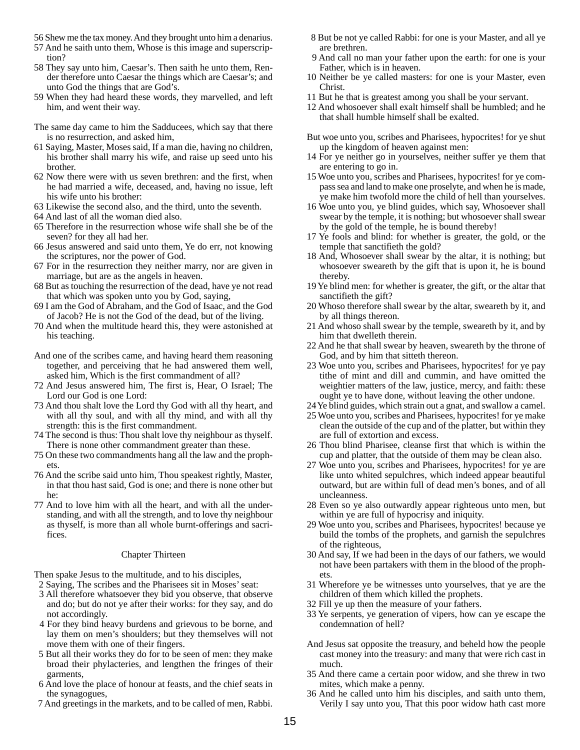- 56 Shew me the tax money. And they brought unto him a denarius.
- 57 And he saith unto them, Whose is this image and superscription?
- 58 They say unto him, Caesar's. Then saith he unto them, Render therefore unto Caesar the things which are Caesar's; and unto God the things that are God's.
- 59 When they had heard these words, they marvelled, and left him, and went their way.
- The same day came to him the Sadducees, which say that there is no resurrection, and asked him,
- 61 Saying, Master, Moses said, If a man die, having no children, his brother shall marry his wife, and raise up seed unto his brother.
- 62 Now there were with us seven brethren: and the first, when he had married a wife, deceased, and, having no issue, left his wife unto his brother:
- 63 Likewise the second also, and the third, unto the seventh.
- 64 And last of all the woman died also.
- 65 Therefore in the resurrection whose wife shall she be of the seven? for they all had her.
- 66 Jesus answered and said unto them, Ye do err, not knowing the scriptures, nor the power of God.
- 67 For in the resurrection they neither marry, nor are given in marriage, but are as the angels in heaven.
- 68 But as touching the resurrection of the dead, have ye not read that which was spoken unto you by God, saying,
- 69 I am the God of Abraham, and the God of Isaac, and the God of Jacob? He is not the God of the dead, but of the living.
- 70 And when the multitude heard this, they were astonished at his teaching.
- And one of the scribes came, and having heard them reasoning together, and perceiving that he had answered them well, asked him, Which is the first commandment of all?
- 72 And Jesus answered him, The first is, Hear, O Israel; The Lord our God is one Lord:
- 73 And thou shalt love the Lord thy God with all thy heart, and with all thy soul, and with all thy mind, and with all thy strength: this is the first commandment.
- 74 The second is thus: Thou shalt love thy neighbour as thyself. There is none other commandment greater than these.
- 75 On these two commandments hang all the law and the prophets.
- 76 And the scribe said unto him, Thou speakest rightly, Master, in that thou hast said, God is one; and there is none other but he:
- 77 And to love him with all the heart, and with all the understanding, and with all the strength, and to love thy neighbour as thyself, is more than all whole burnt-offerings and sacrifices.

## Chapter Thirteen

Then spake Jesus to the multitude, and to his disciples,

- 2 Saying, The scribes and the Pharisees sit in Moses' seat:
- 3 All therefore whatsoever they bid you observe, that observe and do; but do not ye after their works: for they say, and do not accordingly.
- 4 For they bind heavy burdens and grievous to be borne, and lay them on men's shoulders; but they themselves will not move them with one of their fingers.
- 5 But all their works they do for to be seen of men: they make broad their phylacteries, and lengthen the fringes of their garments,
- 6 And love the place of honour at feasts, and the chief seats in the synagogues,
- 7 And greetings in the markets, and to be called of men, Rabbi.
- 8 But be not ye called Rabbi: for one is your Master, and all ye are brethren.
- 9 And call no man your father upon the earth: for one is your Father, which is in heaven.
- 10 Neither be ye called masters: for one is your Master, even Christ.
- 11 But he that is greatest among you shall be your servant.
- 12 And whosoever shall exalt himself shall be humbled; and he that shall humble himself shall be exalted.
- But woe unto you, scribes and Pharisees, hypocrites! for ye shut up the kingdom of heaven against men:
- 14 For ye neither go in yourselves, neither suffer ye them that are entering to go in.
- 15 Woe unto you, scribes and Pharisees, hypocrites! for ye compass sea and land to make one proselyte, and when he is made, ye make him twofold more the child of hell than yourselves.
- 16 Woe unto you, ye blind guides, which say, Whosoever shall swear by the temple, it is nothing; but whosoever shall swear by the gold of the temple, he is bound thereby!
- 17 Ye fools and blind: for whether is greater, the gold, or the temple that sanctifieth the gold?
- 18 And, Whosoever shall swear by the altar, it is nothing; but whosoever sweareth by the gift that is upon it, he is bound thereby.
- 19 Ye blind men: for whether is greater, the gift, or the altar that sanctifieth the gift?
- 20 Whoso therefore shall swear by the altar, sweareth by it, and by all things thereon.
- 21 And whoso shall swear by the temple, sweareth by it, and by him that dwelleth therein.
- 22 And he that shall swear by heaven, sweareth by the throne of God, and by him that sitteth thereon.
- 23 Woe unto you, scribes and Pharisees, hypocrites! for ye pay tithe of mint and dill and cummin, and have omitted the weightier matters of the law, justice, mercy, and faith: these ought ye to have done, without leaving the other undone.
- 24 Ye blind guides, which strain out a gnat, and swallow a camel.
- 25 Woe unto you, scribes and Pharisees, hypocrites! for ye make clean the outside of the cup and of the platter, but within they are full of extortion and excess.
- 26 Thou blind Pharisee, cleanse first that which is within the cup and platter, that the outside of them may be clean also.
- 27 Woe unto you, scribes and Pharisees, hypocrites! for ye are like unto whited sepulchres, which indeed appear beautiful outward, but are within full of dead men's bones, and of all uncleanness.
- 28 Even so ye also outwardly appear righteous unto men, but within ye are full of hypocrisy and iniquity.
- 29 Woe unto you, scribes and Pharisees, hypocrites! because ye build the tombs of the prophets, and garnish the sepulchres of the righteous,
- 30 And say, If we had been in the days of our fathers, we would not have been partakers with them in the blood of the prophets.
- 31 Wherefore ye be witnesses unto yourselves, that ye are the children of them which killed the prophets.
- 32 Fill ye up then the measure of your fathers.
- 33 Ye serpents, ye generation of vipers, how can ye escape the condemnation of hell?
- And Jesus sat opposite the treasury, and beheld how the people cast money into the treasury: and many that were rich cast in much.
- 35 And there came a certain poor widow, and she threw in two mites, which make a penny.
- 36 And he called unto him his disciples, and saith unto them, Verily I say unto you, That this poor widow hath cast more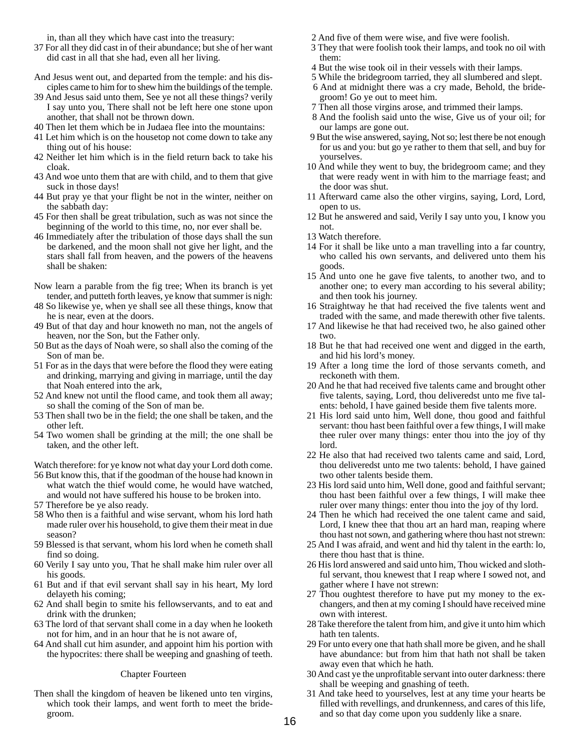in, than all they which have cast into the treasury:

- 37 For all they did cast in of their abundance; but she of her want did cast in all that she had, even all her living.
- And Jesus went out, and departed from the temple: and his disciples came to him for to shew him the buildings of the temple.
- 39 And Jesus said unto them, See ye not all these things? verily I say unto you, There shall not be left here one stone upon another, that shall not be thrown down.
- 40 Then let them which be in Judaea flee into the mountains:
- 41 Let him which is on the housetop not come down to take any thing out of his house:
- 42 Neither let him which is in the field return back to take his cloak.
- 43 And woe unto them that are with child, and to them that give suck in those days!
- 44 But pray ye that your flight be not in the winter, neither on the sabbath day:
- 45 For then shall be great tribulation, such as was not since the beginning of the world to this time, no, nor ever shall be.
- 46 Immediately after the tribulation of those days shall the sun be darkened, and the moon shall not give her light, and the stars shall fall from heaven, and the powers of the heavens shall be shaken:
- Now learn a parable from the fig tree; When its branch is yet tender, and putteth forth leaves, ye know that summer is nigh:
- 48 So likewise ye, when ye shall see all these things, know that he is near, even at the doors.
- 49 But of that day and hour knoweth no man, not the angels of heaven, nor the Son, but the Father only.
- 50 But as the days of Noah were, so shall also the coming of the Son of man be.
- 51 For as in the days that were before the flood they were eating and drinking, marrying and giving in marriage, until the day that Noah entered into the ark,
- 52 And knew not until the flood came, and took them all away; so shall the coming of the Son of man be.
- 53 Then shall two be in the field; the one shall be taken, and the other left.
- 54 Two women shall be grinding at the mill; the one shall be taken, and the other left.

Watch therefore: for ye know not what day your Lord doth come.

- 56 But know this, that if the goodman of the house had known in what watch the thief would come, he would have watched, and would not have suffered his house to be broken into.
- 57 Therefore be ye also ready.
- 58 Who then is a faithful and wise servant, whom his lord hath made ruler over his household, to give them their meat in due season?
- 59 Blessed is that servant, whom his lord when he cometh shall find so doing.
- 60 Verily I say unto you, That he shall make him ruler over all his goods.
- 61 But and if that evil servant shall say in his heart, My lord delayeth his coming;
- 62 And shall begin to smite his fellowservants, and to eat and drink with the drunken;
- 63 The lord of that servant shall come in a day when he looketh not for him, and in an hour that he is not aware of,
- 64 And shall cut him asunder, and appoint him his portion with the hypocrites: there shall be weeping and gnashing of teeth.

## Chapter Fourteen

Then shall the kingdom of heaven be likened unto ten virgins, which took their lamps, and went forth to meet the bridegroom.

- 2 And five of them were wise, and five were foolish.
- 3 They that were foolish took their lamps, and took no oil with them:
- 4 But the wise took oil in their vessels with their lamps.
- 5 While the bridegroom tarried, they all slumbered and slept.
- 6 And at midnight there was a cry made, Behold, the bridegroom! Go ye out to meet him.
- 7 Then all those virgins arose, and trimmed their lamps.
- 8 And the foolish said unto the wise, Give us of your oil; for our lamps are gone out.
- 9 But the wise answered, saying, Not so; lest there be not enough for us and you: but go ye rather to them that sell, and buy for yourselves.
- 10 And while they went to buy, the bridegroom came; and they that were ready went in with him to the marriage feast; and the door was shut.
- 11 Afterward came also the other virgins, saying, Lord, Lord, open to us.
- 12 But he answered and said, Verily I say unto you, I know you not.
- 13 Watch therefore.
- 14 For it shall be like unto a man travelling into a far country, who called his own servants, and delivered unto them his goods.
- 15 And unto one he gave five talents, to another two, and to another one; to every man according to his several ability; and then took his journey.
- 16 Straightway he that had received the five talents went and traded with the same, and made therewith other five talents.
- 17 And likewise he that had received two, he also gained other two.
- 18 But he that had received one went and digged in the earth, and hid his lord's money.
- 19 After a long time the lord of those servants cometh, and reckoneth with them.
- 20 And he that had received five talents came and brought other five talents, saying, Lord, thou deliveredst unto me five talents: behold, I have gained beside them five talents more.
- 21 His lord said unto him, Well done, thou good and faithful servant: thou hast been faithful over a few things, I will make thee ruler over many things: enter thou into the joy of thy lord.
- 22 He also that had received two talents came and said, Lord, thou deliveredst unto me two talents: behold, I have gained two other talents beside them.
- 23 His lord said unto him, Well done, good and faithful servant; thou hast been faithful over a few things, I will make thee ruler over many things: enter thou into the joy of thy lord.
- 24 Then he which had received the one talent came and said, Lord, I knew thee that thou art an hard man, reaping where thou hast not sown, and gathering where thou hast not strewn:
- 25 And I was afraid, and went and hid thy talent in the earth: lo, there thou hast that is thine.
- 26 His lord answered and said unto him, Thou wicked and slothful servant, thou knewest that I reap where I sowed not, and gather where I have not strewn:
- 27 Thou oughtest therefore to have put my money to the exchangers, and then at my coming I should have received mine own with interest.
- 28 Take therefore the talent from him, and give it unto him which hath ten talents.
- 29 For unto every one that hath shall more be given, and he shall have abundance: but from him that hath not shall be taken away even that which he hath.
- 30 And cast ye the unprofitable servant into outer darkness: there shall be weeping and gnashing of teeth.
- 31 And take heed to yourselves, lest at any time your hearts be filled with revellings, and drunkenness, and cares of this life, and so that day come upon you suddenly like a snare.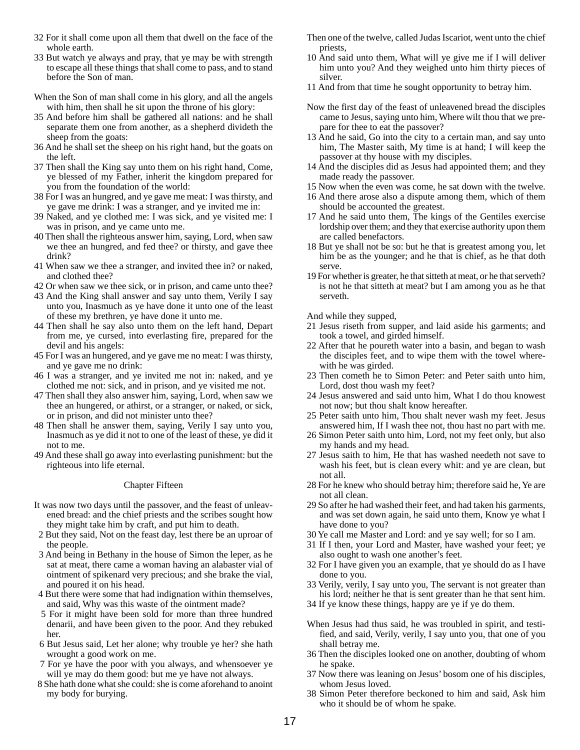- 32 For it shall come upon all them that dwell on the face of the whole earth.
- 33 But watch ye always and pray, that ye may be with strength to escape all these things that shall come to pass, and to stand before the Son of man.
- When the Son of man shall come in his glory, and all the angels with him, then shall he sit upon the throne of his glory:
- 35 And before him shall be gathered all nations: and he shall separate them one from another, as a shepherd divideth the sheep from the goats:
- 36 And he shall set the sheep on his right hand, but the goats on the left.
- 37 Then shall the King say unto them on his right hand, Come, ye blessed of my Father, inherit the kingdom prepared for you from the foundation of the world:
- 38 For I was an hungred, and ye gave me meat: I was thirsty, and ye gave me drink: I was a stranger, and ye invited me in:
- 39 Naked, and ye clothed me: I was sick, and ye visited me: I was in prison, and ye came unto me.
- 40 Then shall the righteous answer him, saying, Lord, when saw we thee an hungred, and fed thee? or thirsty, and gave thee drink?
- 41 When saw we thee a stranger, and invited thee in? or naked, and clothed thee?
- 42 Or when saw we thee sick, or in prison, and came unto thee?
- 43 And the King shall answer and say unto them, Verily I say unto you, Inasmuch as ye have done it unto one of the least of these my brethren, ye have done it unto me.
- 44 Then shall he say also unto them on the left hand, Depart from me, ye cursed, into everlasting fire, prepared for the devil and his angels:
- 45 For I was an hungered, and ye gave me no meat: I was thirsty, and ye gave me no drink:
- 46 I was a stranger, and ye invited me not in: naked, and ye clothed me not: sick, and in prison, and ye visited me not.
- 47 Then shall they also answer him, saying, Lord, when saw we thee an hungered, or athirst, or a stranger, or naked, or sick, or in prison, and did not minister unto thee?
- 48 Then shall he answer them, saying, Verily I say unto you, Inasmuch as ye did it not to one of the least of these, ye did it not to me.
- 49 And these shall go away into everlasting punishment: but the righteous into life eternal.

## Chapter Fifteen

- It was now two days until the passover, and the feast of unleavened bread: and the chief priests and the scribes sought how they might take him by craft, and put him to death.
- 2 But they said, Not on the feast day, lest there be an uproar of the people.
- 3 And being in Bethany in the house of Simon the leper, as he sat at meat, there came a woman having an alabaster vial of ointment of spikenard very precious; and she brake the vial, and poured it on his head.
- 4 But there were some that had indignation within themselves, and said, Why was this waste of the ointment made?
- 5 For it might have been sold for more than three hundred denarii, and have been given to the poor. And they rebuked her.
- 6 But Jesus said, Let her alone; why trouble ye her? she hath wrought a good work on me.
- 7 For ye have the poor with you always, and whensoever ye will ye may do them good: but me ye have not always.
- 8 She hath done what she could: she is come aforehand to anoint my body for burying.
- Then one of the twelve, called Judas Iscariot, went unto the chief priests,
- 10 And said unto them, What will ye give me if I will deliver him unto you? And they weighed unto him thirty pieces of silver.
- 11 And from that time he sought opportunity to betray him.
- Now the first day of the feast of unleavened bread the disciples came to Jesus, saying unto him, Where wilt thou that we prepare for thee to eat the passover?
- 13 And he said, Go into the city to a certain man, and say unto him, The Master saith, My time is at hand; I will keep the passover at thy house with my disciples.
- 14 And the disciples did as Jesus had appointed them; and they made ready the passover.
- 15 Now when the even was come, he sat down with the twelve.
- 16 And there arose also a dispute among them, which of them should be accounted the greatest.
- 17 And he said unto them, The kings of the Gentiles exercise lordship over them; and they that exercise authority upon them are called benefactors.
- 18 But ye shall not be so: but he that is greatest among you, let him be as the younger; and he that is chief, as he that doth serve.
- 19 For whether is greater, he that sitteth at meat, or he that serveth? is not he that sitteth at meat? but I am among you as he that serveth.

And while they supped,

- 21 Jesus riseth from supper, and laid aside his garments; and took a towel, and girded himself.
- 22 After that he poureth water into a basin, and began to wash the disciples feet, and to wipe them with the towel wherewith he was girded.
- 23 Then cometh he to Simon Peter: and Peter saith unto him, Lord, dost thou wash my feet?
- 24 Jesus answered and said unto him, What I do thou knowest not now; but thou shalt know hereafter.
- 25 Peter saith unto him, Thou shalt never wash my feet. Jesus answered him, If I wash thee not, thou hast no part with me.
- 26 Simon Peter saith unto him, Lord, not my feet only, but also my hands and my head.
- 27 Jesus saith to him, He that has washed needeth not save to wash his feet, but is clean every whit: and ye are clean, but not all.
- 28 For he knew who should betray him; therefore said he, Ye are not all clean.
- 29 So after he had washed their feet, and had taken his garments, and was set down again, he said unto them, Know ye what I have done to you?
- 30 Ye call me Master and Lord: and ye say well; for so I am.
- 31 If I then, your Lord and Master, have washed your feet; ye also ought to wash one another's feet.
- 32 For I have given you an example, that ye should do as I have done to you.
- 33 Verily, verily, I say unto you, The servant is not greater than his lord; neither he that is sent greater than he that sent him.
- 34 If ye know these things, happy are ye if ye do them.
- When Jesus had thus said, he was troubled in spirit, and testified, and said, Verily, verily, I say unto you, that one of you shall betray me.
- 36 Then the disciples looked one on another, doubting of whom he spake.
- 37 Now there was leaning on Jesus' bosom one of his disciples, whom Jesus loved.
- 38 Simon Peter therefore beckoned to him and said, Ask him who it should be of whom he spake.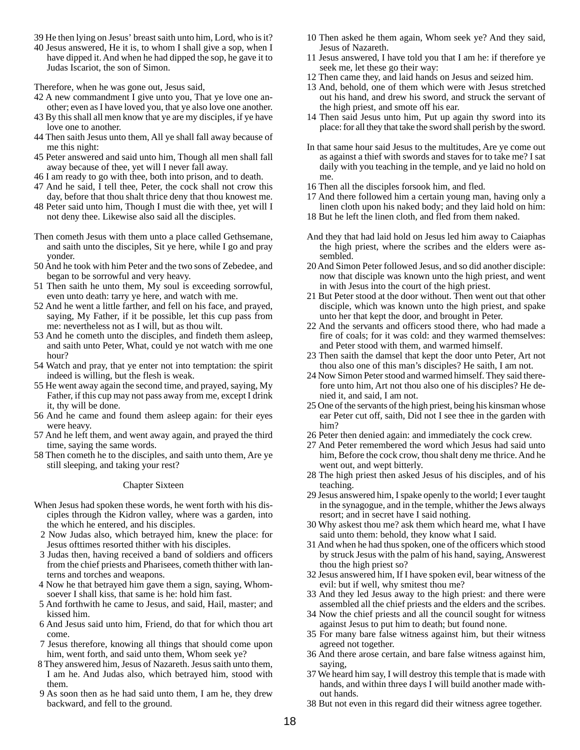- 39 He then lying on Jesus' breast saith unto him, Lord, who is it?
- 40 Jesus answered, He it is, to whom I shall give a sop, when I have dipped it. And when he had dipped the sop, he gave it to Judas Iscariot, the son of Simon.

Therefore, when he was gone out, Jesus said,

- 42 A new commandment I give unto you, That ye love one another; even as I have loved you, that ye also love one another.
- 43 By this shall all men know that ye are my disciples, if ye have love one to another.
- 44 Then saith Jesus unto them, All ye shall fall away because of me this night:
- 45 Peter answered and said unto him, Though all men shall fall away because of thee, yet will I never fall away.
- 46 I am ready to go with thee, both into prison, and to death.
- 47 And he said, I tell thee, Peter, the cock shall not crow this day, before that thou shalt thrice deny that thou knowest me.
- 48 Peter said unto him, Though I must die with thee, yet will I not deny thee. Likewise also said all the disciples.
- Then cometh Jesus with them unto a place called Gethsemane, and saith unto the disciples, Sit ye here, while I go and pray yonder.
- 50 And he took with him Peter and the two sons of Zebedee, and began to be sorrowful and very heavy.
- 51 Then saith he unto them, My soul is exceeding sorrowful, even unto death: tarry ye here, and watch with me.
- 52 And he went a little farther, and fell on his face, and prayed, saying, My Father, if it be possible, let this cup pass from me: nevertheless not as I will, but as thou wilt.
- 53 And he cometh unto the disciples, and findeth them asleep, and saith unto Peter, What, could ye not watch with me one hour?
- 54 Watch and pray, that ye enter not into temptation: the spirit indeed is willing, but the flesh is weak.
- 55 He went away again the second time, and prayed, saying, My Father, if this cup may not pass away from me, except I drink it, thy will be done.
- 56 And he came and found them asleep again: for their eyes were heavy.
- 57 And he left them, and went away again, and prayed the third time, saying the same words.
- 58 Then cometh he to the disciples, and saith unto them, Are ye still sleeping, and taking your rest?

## Chapter Sixteen

- When Jesus had spoken these words, he went forth with his disciples through the Kidron valley, where was a garden, into the which he entered, and his disciples.
- 2 Now Judas also, which betrayed him, knew the place: for Jesus ofttimes resorted thither with his disciples.
- 3 Judas then, having received a band of soldiers and officers from the chief priests and Pharisees, cometh thither with lanterns and torches and weapons.
- 4 Now he that betrayed him gave them a sign, saying, Whomsoever I shall kiss, that same is he: hold him fast.
- 5 And forthwith he came to Jesus, and said, Hail, master; and kissed him.
- 6 And Jesus said unto him, Friend, do that for which thou art come.
- 7 Jesus therefore, knowing all things that should come upon him, went forth, and said unto them, Whom seek ye?
- 8 They answered him, Jesus of Nazareth. Jesus saith unto them, I am he. And Judas also, which betrayed him, stood with them.
- 9 As soon then as he had said unto them, I am he, they drew backward, and fell to the ground.
- 10 Then asked he them again, Whom seek ye? And they said, Jesus of Nazareth.
- 11 Jesus answered, I have told you that I am he: if therefore ye seek me, let these go their way:
- 12 Then came they, and laid hands on Jesus and seized him.
- 13 And, behold, one of them which were with Jesus stretched out his hand, and drew his sword, and struck the servant of the high priest, and smote off his ear.
- 14 Then said Jesus unto him, Put up again thy sword into its place: for all they that take the sword shall perish by the sword.
- In that same hour said Jesus to the multitudes, Are ye come out as against a thief with swords and staves for to take me? I sat daily with you teaching in the temple, and ye laid no hold on me.
- 16 Then all the disciples forsook him, and fled.
- 17 And there followed him a certain young man, having only a linen cloth upon his naked body; and they laid hold on him:
- 18 But he left the linen cloth, and fled from them naked.
- And they that had laid hold on Jesus led him away to Caiaphas the high priest, where the scribes and the elders were assembled.
- 20 And Simon Peter followed Jesus, and so did another disciple: now that disciple was known unto the high priest, and went in with Jesus into the court of the high priest.
- 21 But Peter stood at the door without. Then went out that other disciple, which was known unto the high priest, and spake unto her that kept the door, and brought in Peter.
- 22 And the servants and officers stood there, who had made a fire of coals; for it was cold: and they warmed themselves: and Peter stood with them, and warmed himself.
- 23 Then saith the damsel that kept the door unto Peter, Art not thou also one of this man's disciples? He saith, I am not.
- 24 Now Simon Peter stood and warmed himself. They said therefore unto him, Art not thou also one of his disciples? He denied it, and said, I am not.
- 25 One of the servants of the high priest, being his kinsman whose ear Peter cut off, saith, Did not I see thee in the garden with him?
- 26 Peter then denied again: and immediately the cock crew.
- 27 And Peter remembered the word which Jesus had said unto him, Before the cock crow, thou shalt deny me thrice. And he went out, and wept bitterly.
- 28 The high priest then asked Jesus of his disciples, and of his teaching.
- 29 Jesus answered him, I spake openly to the world; I ever taught in the synagogue, and in the temple, whither the Jews always resort; and in secret have I said nothing.
- 30 Why askest thou me? ask them which heard me, what I have said unto them: behold, they know what I said.
- 31 And when he had thus spoken, one of the officers which stood by struck Jesus with the palm of his hand, saying, Answerest thou the high priest so?
- 32 Jesus answered him, If I have spoken evil, bear witness of the evil: but if well, why smitest thou me?
- 33 And they led Jesus away to the high priest: and there were assembled all the chief priests and the elders and the scribes.
- 34 Now the chief priests and all the council sought for witness against Jesus to put him to death; but found none.
- 35 For many bare false witness against him, but their witness agreed not together.
- 36 And there arose certain, and bare false witness against him, saying,
- 37 We heard him say, I will destroy this temple that is made with hands, and within three days I will build another made without hands.
- 38 But not even in this regard did their witness agree together.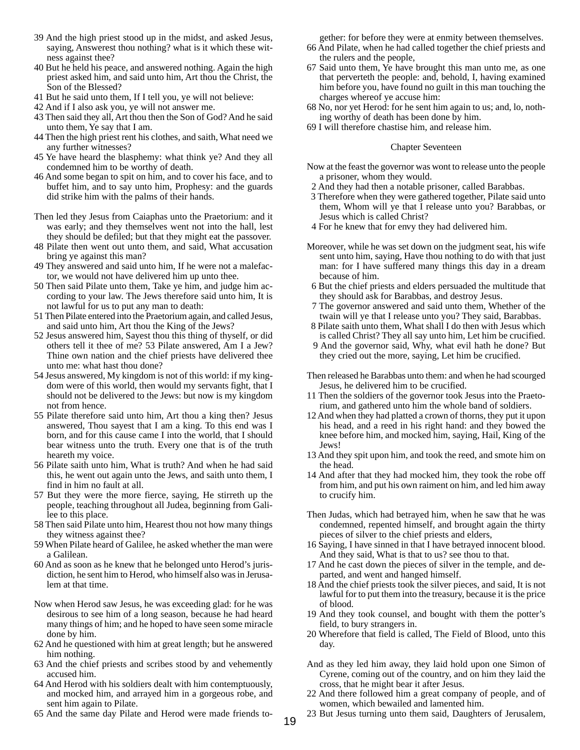- 39 And the high priest stood up in the midst, and asked Jesus, saying, Answerest thou nothing? what is it which these witness against thee?
- 40 But he held his peace, and answered nothing. Again the high priest asked him, and said unto him, Art thou the Christ, the Son of the Blessed?
- 41 But he said unto them, If I tell you, ye will not believe:
- 42 And if I also ask you, ye will not answer me.
- 43 Then said they all, Art thou then the Son of God? And he said unto them, Ye say that I am.
- 44 Then the high priest rent his clothes, and saith, What need we any further witnesses?
- 45 Ye have heard the blasphemy: what think ye? And they all condemned him to be worthy of death.
- 46 And some began to spit on him, and to cover his face, and to buffet him, and to say unto him, Prophesy: and the guards did strike him with the palms of their hands.

Then led they Jesus from Caiaphas unto the Praetorium: and it was early; and they themselves went not into the hall, lest they should be defiled; but that they might eat the passover.

- 48 Pilate then went out unto them, and said, What accusation bring ye against this man?
- 49 They answered and said unto him, If he were not a malefactor, we would not have delivered him up unto thee.
- 50 Then said Pilate unto them, Take ye him, and judge him according to your law. The Jews therefore said unto him, It is not lawful for us to put any man to death:
- 51 Then Pilate entered into the Praetorium again, and called Jesus, and said unto him, Art thou the King of the Jews?
- 52 Jesus answered him, Sayest thou this thing of thyself, or did others tell it thee of me? 53 Pilate answered, Am I a Jew? Thine own nation and the chief priests have delivered thee unto me: what hast thou done?
- 54 Jesus answered, My kingdom is not of this world: if my kingdom were of this world, then would my servants fight, that I should not be delivered to the Jews: but now is my kingdom not from hence.
- 55 Pilate therefore said unto him, Art thou a king then? Jesus answered, Thou sayest that I am a king. To this end was I born, and for this cause came I into the world, that I should bear witness unto the truth. Every one that is of the truth heareth my voice.
- 56 Pilate saith unto him, What is truth? And when he had said this, he went out again unto the Jews, and saith unto them, I find in him no fault at all.
- 57 But they were the more fierce, saying, He stirreth up the people, teaching throughout all Judea, beginning from Galilee to this place.
- 58 Then said Pilate unto him, Hearest thou not how many things they witness against thee?
- 59 When Pilate heard of Galilee, he asked whether the man were a Galilean.
- 60 And as soon as he knew that he belonged unto Herod's jurisdiction, he sent him to Herod, who himself also was in Jerusalem at that time.
- Now when Herod saw Jesus, he was exceeding glad: for he was desirous to see him of a long season, because he had heard many things of him; and he hoped to have seen some miracle done by him.
- 62 And he questioned with him at great length; but he answered him nothing.
- 63 And the chief priests and scribes stood by and vehemently accused him.
- 64 And Herod with his soldiers dealt with him contemptuously, and mocked him, and arrayed him in a gorgeous robe, and sent him again to Pilate.
- 65 And the same day Pilate and Herod were made friends to-

gether: for before they were at enmity between themselves.

- 66 And Pilate, when he had called together the chief priests and the rulers and the people,
- 67 Said unto them, Ye have brought this man unto me, as one that perverteth the people: and, behold, I, having examined him before you, have found no guilt in this man touching the charges whereof ye accuse him:
- 68 No, nor yet Herod: for he sent him again to us; and, lo, nothing worthy of death has been done by him.
- 69 I will therefore chastise him, and release him.

#### Chapter Seventeen

- Now at the feast the governor was wont to release unto the people a prisoner, whom they would.
- 2 And they had then a notable prisoner, called Barabbas.
- 3 Therefore when they were gathered together, Pilate said unto them, Whom will ye that I release unto you? Barabbas, or Jesus which is called Christ?
- 4 For he knew that for envy they had delivered him.
- Moreover, while he was set down on the judgment seat, his wife sent unto him, saying, Have thou nothing to do with that just man: for I have suffered many things this day in a dream because of him.
- 6 But the chief priests and elders persuaded the multitude that they should ask for Barabbas, and destroy Jesus.
- 7 The governor answered and said unto them, Whether of the twain will ye that I release unto you? They said, Barabbas.
- 8 Pilate saith unto them, What shall I do then with Jesus which is called Christ? They all say unto him, Let him be crucified.
- 9 And the governor said, Why, what evil hath he done? But they cried out the more, saying, Let him be crucified.
- Then released he Barabbas unto them: and when he had scourged Jesus, he delivered him to be crucified.
- 11 Then the soldiers of the governor took Jesus into the Praetorium, and gathered unto him the whole band of soldiers.
- 12 And when they had platted a crown of thorns, they put it upon his head, and a reed in his right hand: and they bowed the knee before him, and mocked him, saying, Hail, King of the Jews!
- 13 And they spit upon him, and took the reed, and smote him on the head.
- 14 And after that they had mocked him, they took the robe off from him, and put his own raiment on him, and led him away to crucify him.
- Then Judas, which had betrayed him, when he saw that he was condemned, repented himself, and brought again the thirty pieces of silver to the chief priests and elders,
- 16 Saying, I have sinned in that I have betrayed innocent blood. And they said, What is that to us? see thou to that.
- 17 And he cast down the pieces of silver in the temple, and departed, and went and hanged himself.
- 18 And the chief priests took the silver pieces, and said, It is not lawful for to put them into the treasury, because it is the price of blood.
- 19 And they took counsel, and bought with them the potter's field, to bury strangers in.
- 20 Wherefore that field is called, The Field of Blood, unto this day.
- And as they led him away, they laid hold upon one Simon of Cyrene, coming out of the country, and on him they laid the cross, that he might bear it after Jesus.
- 22 And there followed him a great company of people, and of women, which bewailed and lamented him.
- 23 But Jesus turning unto them said, Daughters of Jerusalem,